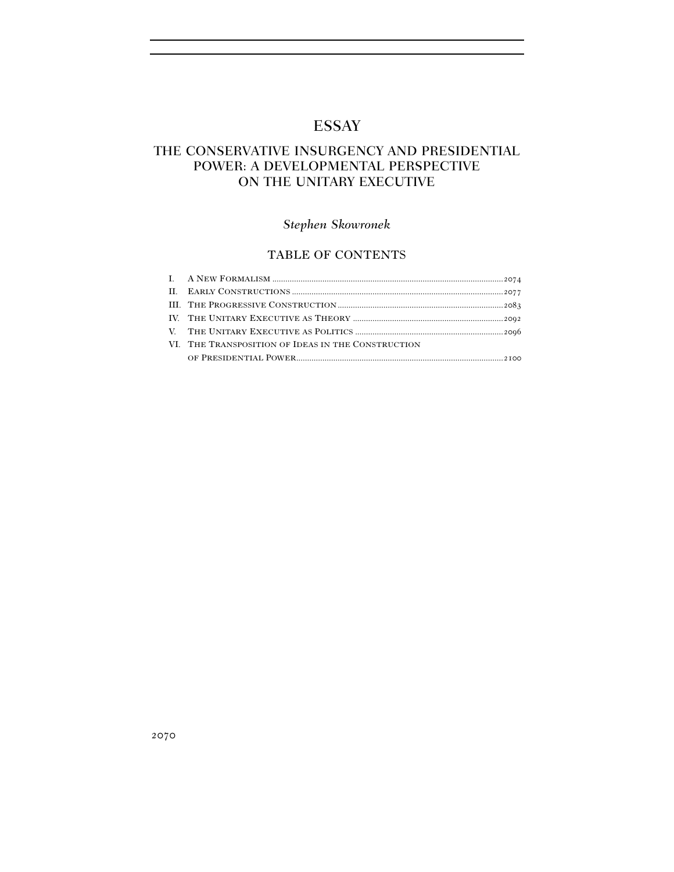# ESSAY

## THE CONSERVATIVE INSURGENCY AND PRESIDENTIAL POWER: A DEVELOPMENTAL PERSPECTIVE ON THE UNITARY EXECUTIVE

# *Stephen Skowronek*

## TABLE OF CONTENTS

| VI. THE TRANSPOSITION OF IDEAS IN THE CONSTRUCTION |  |
|----------------------------------------------------|--|
|                                                    |  |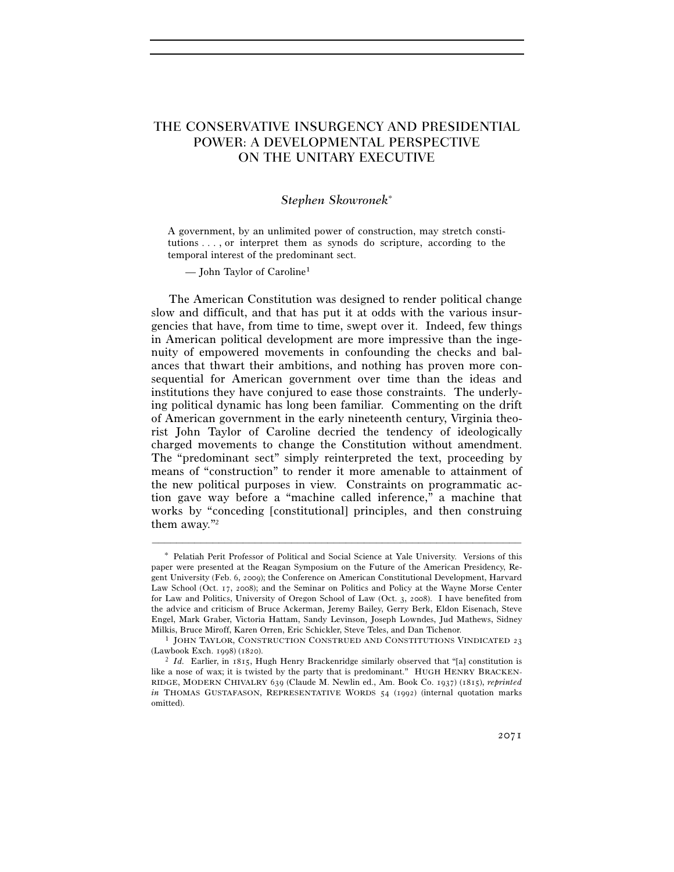## THE CONSERVATIVE INSURGENCY AND PRESIDENTIAL POWER: A DEVELOPMENTAL PERSPECTIVE ON THE UNITARY EXECUTIVE

## *Stephen Skowronek*<sup>∗</sup>

A government, by an unlimited power of construction, may stretch constitutions . . . , or interpret them as synods do scripture, according to the temporal interest of the predominant sect.

— John Taylor of Caroline1

The American Constitution was designed to render political change slow and difficult, and that has put it at odds with the various insurgencies that have, from time to time, swept over it. Indeed, few things in American political development are more impressive than the ingenuity of empowered movements in confounding the checks and balances that thwart their ambitions, and nothing has proven more consequential for American government over time than the ideas and institutions they have conjured to ease those constraints. The underlying political dynamic has long been familiar. Commenting on the drift of American government in the early nineteenth century, Virginia theorist John Taylor of Caroline decried the tendency of ideologically charged movements to change the Constitution without amendment. The "predominant sect" simply reinterpreted the text, proceeding by means of "construction" to render it more amenable to attainment of the new political purposes in view. Constraints on programmatic action gave way before a "machine called inference," a machine that works by "conceding [constitutional] principles, and then construing them away."2

<sup>∗</sup> Pelatiah Perit Professor of Political and Social Science at Yale University. Versions of this paper were presented at the Reagan Symposium on the Future of the American Presidency, Regent University (Feb. 6, 2009); the Conference on American Constitutional Development, Harvard Law School (Oct. 17, 2008); and the Seminar on Politics and Policy at the Wayne Morse Center for Law and Politics, University of Oregon School of Law (Oct. 3, 2008). I have benefited from the advice and criticism of Bruce Ackerman, Jeremy Bailey, Gerry Berk, Eldon Eisenach, Steve Engel, Mark Graber, Victoria Hattam, Sandy Levinson, Joseph Lowndes, Jud Mathews, Sidney Milkis, Bruce Miroff, Karen Orren, Eric Schickler, Steve Teles, and Dan Tichenor. 1 JOHN TAYLOR, CONSTRUCTION CONSTRUED AND CONSTITUTIONS VINDICATED <sup>23</sup>

<sup>(</sup>Lawbook Exch. 1998) (1820). 2 *Id.* Earlier, in 1815, Hugh Henry Brackenridge similarly observed that "[a] constitution is

like a nose of wax; it is twisted by the party that is predominant." HUGH HENRY BRACKEN-RIDGE, MODERN CHIVALRY 639 (Claude M. Newlin ed., Am. Book Co. 1937) (1815), *reprinted in* THOMAS GUSTAFASON, REPRESENTATIVE WORDS 54 (1992) (internal quotation marks omitted).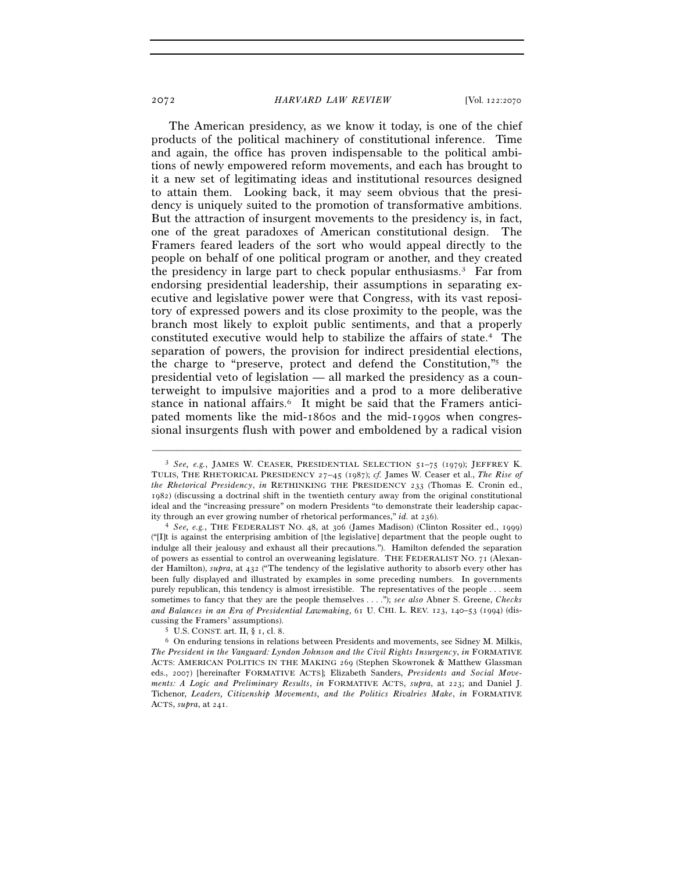The American presidency, as we know it today, is one of the chief products of the political machinery of constitutional inference. Time and again, the office has proven indispensable to the political ambitions of newly empowered reform movements, and each has brought to it a new set of legitimating ideas and institutional resources designed to attain them. Looking back, it may seem obvious that the presidency is uniquely suited to the promotion of transformative ambitions. But the attraction of insurgent movements to the presidency is, in fact, one of the great paradoxes of American constitutional design. The Framers feared leaders of the sort who would appeal directly to the people on behalf of one political program or another, and they created the presidency in large part to check popular enthusiasms.3 Far from endorsing presidential leadership, their assumptions in separating executive and legislative power were that Congress, with its vast repository of expressed powers and its close proximity to the people, was the branch most likely to exploit public sentiments, and that a properly constituted executive would help to stabilize the affairs of state.4 The separation of powers, the provision for indirect presidential elections, the charge to "preserve, protect and defend the Constitution,"5 the presidential veto of legislation — all marked the presidency as a counterweight to impulsive majorities and a prod to a more deliberative stance in national affairs.<sup>6</sup> It might be said that the Framers anticipated moments like the mid-1860s and the mid-1990s when congressional insurgents flush with power and emboldened by a radical vision

<sup>3</sup> *See, e.g.*, JAMES W. CEASER, PRESIDENTIAL SELECTION 51–75 (1979); JEFFREY K. TULIS, THE RHETORICAL PRESIDENCY 27–45 (1987); *cf.* James W. Ceaser et al., *The Rise of the Rhetorical Presidency*, *in* RETHINKING THE PRESIDENCY 233 (Thomas E. Cronin ed., 1982) (discussing a doctrinal shift in the twentieth century away from the original constitutional ideal and the "increasing pressure" on modern Presidents "to demonstrate their leadership capacity through an ever growing number of rhetorical performances," *id.* at 236). 4 *See, e.g.*, THE FEDERALIST NO. <sup>48</sup>, at 306 (James Madison) (Clinton Rossiter ed., 1999)

<sup>(&</sup>quot;[I]t is against the enterprising ambition of [the legislative] department that the people ought to indulge all their jealousy and exhaust all their precautions."). Hamilton defended the separation of powers as essential to control an overweaning legislature. THE FEDERALIST NO. 71 (Alexander Hamilton), *supra*, at 432 ("The tendency of the legislative authority to absorb every other has been fully displayed and illustrated by examples in some preceding numbers. In governments purely republican, this tendency is almost irresistible. The representatives of the people . . . seem sometimes to fancy that they are the people themselves . . . ."); *see also* Abner S. Greene, *Checks and Balances in an Era of Presidential Lawmaking*, 61 U. CHI. L. REV. 123, 140–53 (1994) (discussing the Framers' assumptions). 5 U.S. CONST. art. II, § 1, cl. 8. 6 On enduring tensions in relations between Presidents and movements, see Sidney M. Milkis,

*The President in the Vanguard: Lyndon Johnson and the Civil Rights Insurgency*, *in* FORMATIVE ACTS: AMERICAN POLITICS IN THE MAKING 269 (Stephen Skowronek & Matthew Glassman eds., 2007) [hereinafter FORMATIVE ACTS]; Elizabeth Sanders, *Presidents and Social Movements: A Logic and Preliminary Results*, *in* FORMATIVE ACTS, *supra*, at 223; and Daniel J. Tichenor, *Leaders, Citizenship Movements, and the Politics Rivalries Make*, *in* FORMATIVE ACTS, *supra*, at 241.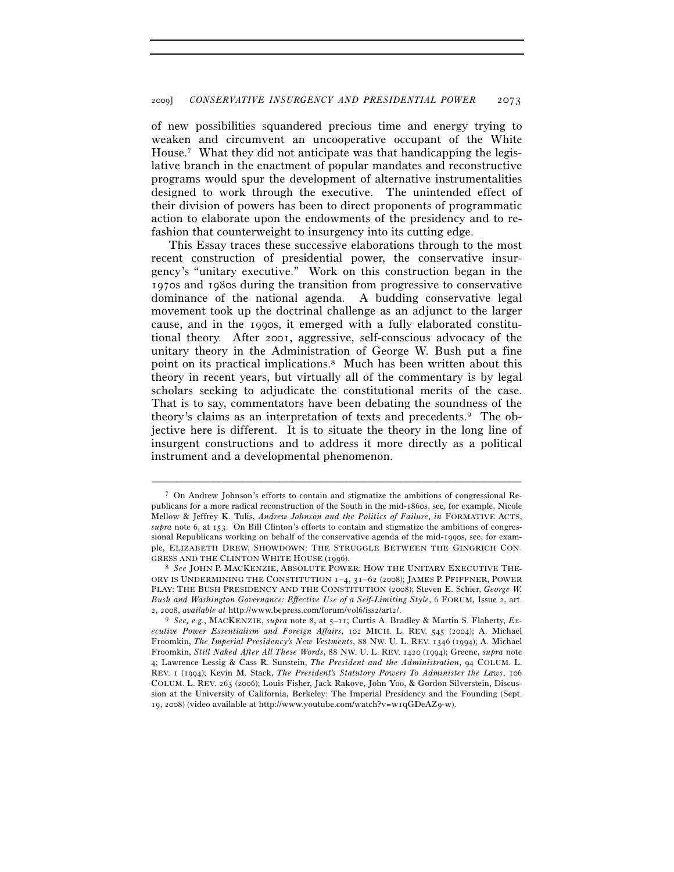of new possibilities squandered precious time and energy trying to weaken and circumvent an uncooperative occupant of the White House.<sup>7</sup> What they did not anticipate was that handicapping the legislative branch in the enactment of popular mandates and reconstructive programs would spur the development of alternative instrumentalities designed to work through the executive. The unintended effect of their division of powers has been to direct proponents of programmatic action to elaborate upon the endowments of the presidency and to refashion that counterweight to insurgency into its cutting edge.

This Essay traces these successive elaborations through to the most recent construction of presidential power, the conservative insurgency's "unitary executive." Work on this construction began in the 1970s and 1980s during the transition from progressive to conservative dominance of the national agenda. A budding conservative legal movement took up the doctrinal challenge as an adjunct to the larger cause, and in the 1990s, it emerged with a fully elaborated constitutional theory. After 2001, aggressive, self-conscious advocacy of the unitary theory in the Administration of George W. Bush put a fine point on its practical implications.8 Much has been written about this theory in recent years, but virtually all of the commentary is by legal scholars seeking to adjudicate the constitutional merits of the case. That is to say, commentators have been debating the soundness of the theory's claims as an interpretation of texts and precedents.9 The objective here is different. It is to situate the theory in the long line of insurgent constructions and to address it more directly as a political instrument and a developmental phenomenon.

<sup>7</sup> On Andrew Johnson's efforts to contain and stigmatize the ambitions of congressional Republicans for a more radical reconstruction of the South in the mid-1860s, see, for example, Nicole Mellow & Jeffrey K. Tulis, *Andrew Johnson and the Politics of Failure*, *in* FORMATIVE ACTS, *supra* note 6, at 153. On Bill Clinton's efforts to contain and stigmatize the ambitions of congressional Republicans working on behalf of the conservative agenda of the mid-1990s, see, for example, ELIZABETH DREW, SHOWDOWN: THE STRUGGLE BETWEEN THE GINGRICH CON-GRESS AND THE CLINTON WHITE HOUSE (1996).

<sup>8</sup> *See* JOHN P. MACKENZIE, ABSOLUTE POWER: HOW THE UNITARY EXECUTIVE THE-ORY IS UNDERMINING THE CONSTITUTION 1–4, 31–62 (2008); JAMES P. PFIFFNER, POWER PLAY: THE BUSH PRESIDENCY AND THE CONSTITUTION (2008); Steven E. Schier, *George W. Bush and Washington Governance: Effective Use of a Self-Limiting Style*, 6 FORUM, Issue 2, art. <sup>2</sup>, 2008, *available at* http://www.bepress.com/forum/vol6/iss2/art2/. 9 *See, e.g.*, MACKENZIE, *supra* note 8, at 5–11; Curtis A. Bradley & Martin S. Flaherty, *Ex-*

*ecutive Power Essentialism and Foreign Affairs*, 102 MICH. L. REV. 545 (2004); A. Michael Froomkin, *The Imperial Presidency's New Vestments*, 88 NW. U. L. REV. 1346 (1994); A. Michael Froomkin, *Still Naked After All These Words*, 88 NW. U. L. REV. 1420 (1994); Greene, *supra* note 4; Lawrence Lessig & Cass R. Sunstein, *The President and the Administration*, 94 COLUM. L. REV. 1 (1994); Kevin M. Stack, *The President's Statutory Powers To Administer the Laws*, 106 COLUM. L. REV. 263 (2006); Louis Fisher, Jack Rakove, John Yoo, & Gordon Silverstein, Discussion at the University of California, Berkeley: The Imperial Presidency and the Founding (Sept. 19, 2008) (video available at http://www.youtube.com/watch?v=w1qGDeAZ9-w).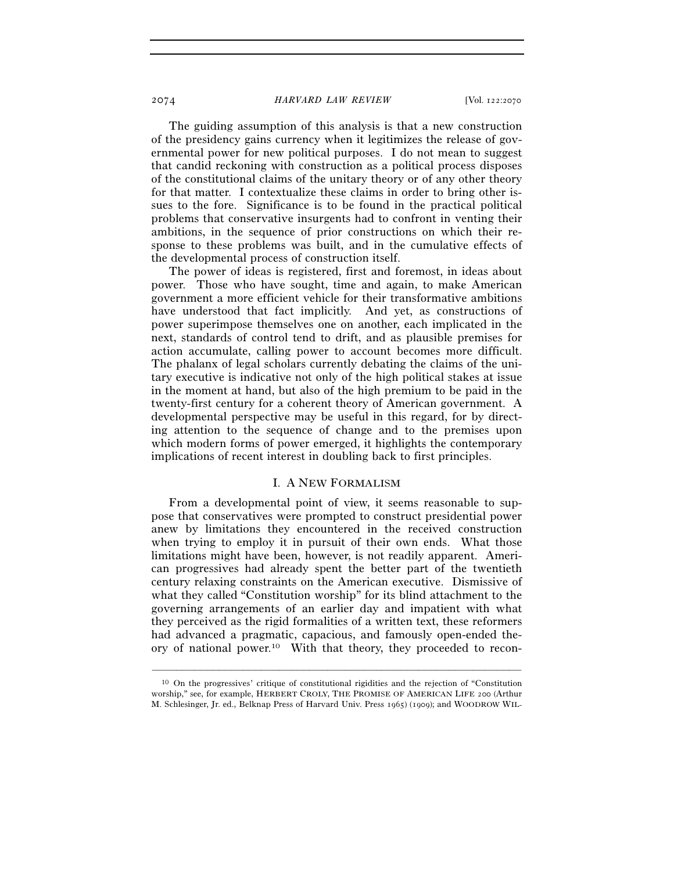The guiding assumption of this analysis is that a new construction of the presidency gains currency when it legitimizes the release of governmental power for new political purposes. I do not mean to suggest that candid reckoning with construction as a political process disposes of the constitutional claims of the unitary theory or of any other theory for that matter. I contextualize these claims in order to bring other issues to the fore. Significance is to be found in the practical political problems that conservative insurgents had to confront in venting their ambitions, in the sequence of prior constructions on which their response to these problems was built, and in the cumulative effects of the developmental process of construction itself.

The power of ideas is registered, first and foremost, in ideas about power. Those who have sought, time and again, to make American government a more efficient vehicle for their transformative ambitions have understood that fact implicitly. And yet, as constructions of power superimpose themselves one on another, each implicated in the next, standards of control tend to drift, and as plausible premises for action accumulate, calling power to account becomes more difficult. The phalanx of legal scholars currently debating the claims of the unitary executive is indicative not only of the high political stakes at issue in the moment at hand, but also of the high premium to be paid in the twenty-first century for a coherent theory of American government. A developmental perspective may be useful in this regard, for by directing attention to the sequence of change and to the premises upon which modern forms of power emerged, it highlights the contemporary implications of recent interest in doubling back to first principles.

#### I. A NEW FORMALISM

From a developmental point of view, it seems reasonable to suppose that conservatives were prompted to construct presidential power anew by limitations they encountered in the received construction when trying to employ it in pursuit of their own ends. What those limitations might have been, however, is not readily apparent. American progressives had already spent the better part of the twentieth century relaxing constraints on the American executive. Dismissive of what they called "Constitution worship" for its blind attachment to the governing arrangements of an earlier day and impatient with what they perceived as the rigid formalities of a written text, these reformers had advanced a pragmatic, capacious, and famously open-ended theory of national power.10 With that theory, they proceeded to recon-

<sup>10</sup> On the progressives' critique of constitutional rigidities and the rejection of "Constitution worship," see, for example, HERBERT CROLY, THE PROMISE OF AMERICAN LIFE 200 (Arthur M. Schlesinger, Jr. ed., Belknap Press of Harvard Univ. Press 1965) (1909); and WOODROW WIL-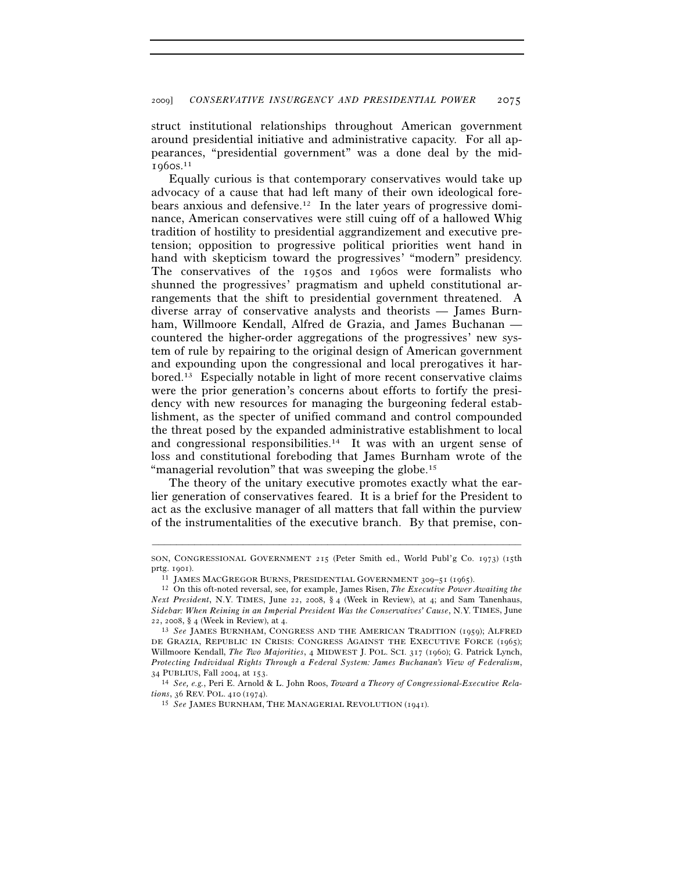struct institutional relationships throughout American government around presidential initiative and administrative capacity. For all appearances, "presidential government" was a done deal by the mid- $1060s.<sup>11</sup>$ 

Equally curious is that contemporary conservatives would take up advocacy of a cause that had left many of their own ideological forebears anxious and defensive.12 In the later years of progressive dominance, American conservatives were still cuing off of a hallowed Whig tradition of hostility to presidential aggrandizement and executive pretension; opposition to progressive political priorities went hand in hand with skepticism toward the progressives' "modern" presidency. The conservatives of the 1950s and 1960s were formalists who shunned the progressives' pragmatism and upheld constitutional arrangements that the shift to presidential government threatened. A diverse array of conservative analysts and theorists — James Burnham, Willmoore Kendall, Alfred de Grazia, and James Buchanan countered the higher-order aggregations of the progressives' new system of rule by repairing to the original design of American government and expounding upon the congressional and local prerogatives it harbored.13 Especially notable in light of more recent conservative claims were the prior generation's concerns about efforts to fortify the presidency with new resources for managing the burgeoning federal establishment, as the specter of unified command and control compounded the threat posed by the expanded administrative establishment to local and congressional responsibilities.<sup>14</sup> It was with an urgent sense of loss and constitutional foreboding that James Burnham wrote of the "managerial revolution" that was sweeping the globe.15

The theory of the unitary executive promotes exactly what the earlier generation of conservatives feared. It is a brief for the President to act as the exclusive manager of all matters that fall within the purview of the instrumentalities of the executive branch. By that premise, con-

<sup>–––––––––––––––––––––––––––––––––––––––––––––––––––––––––––––</sup> SON, CONGRESSIONAL GOVERNMENT 215 (Peter Smith ed., World Publ'g Co. 1973) (15th prtg. 1901). 11 JAMES MACGREGOR BURNS, PRESIDENTIAL GOVERNMENT <sup>309</sup>–51 (1965). 12 On this oft-noted reversal, see, for example, James Risen, *The Executive Power Awaiting the* 

*Next President*, N.Y. TIMES, June 22, 2008, § 4 (Week in Review), at 4; and Sam Tanenhaus, *Sidebar: When Reining in an Imperial President Was the Conservatives' Cause*, N.Y. TIMES, June <sup>22</sup>, 2008, § 4 (Week in Review), at 4. 13 *See* JAMES BURNHAM, CONGRESS AND THE AMERICAN TRADITION (1959); ALFRED

DE GRAZIA, REPUBLIC IN CRISIS: CONGRESS AGAINST THE EXECUTIVE FORCE (1965); Willmoore Kendall, *The Two Majorities*, 4 MIDWEST J. POL. SCI. 317 (1960); G. Patrick Lynch, *Protecting Individual Rights Through a Federal System: James Buchanan's View of Federalism*, <sup>34</sup> PUBLIUS, Fall 2004, at 153. 14 *See, e.g.*, Peri E. Arnold & L. John Roos, *Toward a Theory of Congressional-Executive Rela-*

*tions*, 36 REV. POL. <sup>410</sup> (1974). 15 *See* JAMES BURNHAM, THE MANAGERIAL REVOLUTION (1941).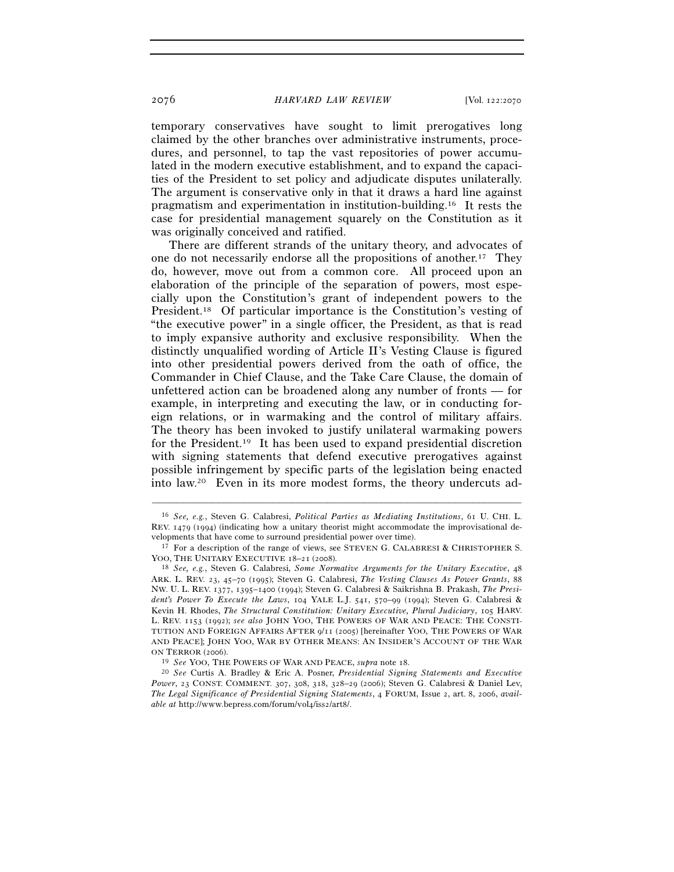temporary conservatives have sought to limit prerogatives long claimed by the other branches over administrative instruments, procedures, and personnel, to tap the vast repositories of power accumulated in the modern executive establishment, and to expand the capacities of the President to set policy and adjudicate disputes unilaterally. The argument is conservative only in that it draws a hard line against pragmatism and experimentation in institution-building.16 It rests the case for presidential management squarely on the Constitution as it was originally conceived and ratified.

There are different strands of the unitary theory, and advocates of one do not necessarily endorse all the propositions of another.<sup>17</sup> They do, however, move out from a common core. All proceed upon an elaboration of the principle of the separation of powers, most especially upon the Constitution's grant of independent powers to the President.18 Of particular importance is the Constitution's vesting of "the executive power" in a single officer, the President, as that is read to imply expansive authority and exclusive responsibility. When the distinctly unqualified wording of Article II's Vesting Clause is figured into other presidential powers derived from the oath of office, the Commander in Chief Clause, and the Take Care Clause, the domain of unfettered action can be broadened along any number of fronts — for example, in interpreting and executing the law, or in conducting foreign relations, or in warmaking and the control of military affairs. The theory has been invoked to justify unilateral warmaking powers for the President.19 It has been used to expand presidential discretion with signing statements that defend executive prerogatives against possible infringement by specific parts of the legislation being enacted into law.20 Even in its more modest forms, the theory undercuts ad-

<sup>16</sup> *See, e.g.*, Steven G. Calabresi, *Political Parties as Mediating Institutions*, 61 U. CHI. L. REV. 1479 (1994) (indicating how a unitary theorist might accommodate the improvisational developments that have come to surround presidential power over time). 17 For a description of the range of views, see STEVEN G. CALABRESI & CHRISTOPHER S.

YOO, THE UNITARY EXECUTIVE <sup>18</sup>–21 (2008). 18 *See, e.g.*, Steven G. Calabresi, *Some Normative Arguments for the Unitary Executive*, <sup>48</sup> ARK. L. REV. 23, 45–70 (1995); Steven G. Calabresi, *The Vesting Clauses As Power Grants*, 88 NW. U. L. REV. 1377, 1395–1400 (1994); Steven G. Calabresi & Saikrishna B. Prakash, *The President's Power To Execute the Laws*, 104 YALE L.J. 541, 570–99 (1994); Steven G. Calabresi & Kevin H. Rhodes, *The Structural Constitution: Unitary Executive, Plural Judiciary*, 105 HARV. L. REV. 1153 (1992); *see also* JOHN YOO, THE POWERS OF WAR AND PEACE: THE CONSTI-TUTION AND FOREIGN AFFAIRS AFTER 9/11 (2005) [hereinafter YOO, THE POWERS OF WAR AND PEACE]; JOHN YOO, WAR BY OTHER MEANS: AN INSIDER'S ACCOUNT OF THE WAR ON TERROR (2006).

ON TERROR (2006). 19 *See* YOO, THE POWERS OF WAR AND PEACE, *supra* note 18. 20 *See* Curtis A. Bradley & Eric A. Posner, *Presidential Signing Statements and Executive Power*, 23 CONST. COMMENT. 307, 308, 318, 328–29 (2006); Steven G. Calabresi & Daniel Lev, *The Legal Significance of Presidential Signing Statements*, 4 FORUM, Issue 2, art. 8, 2006, *available at* http://www.bepress.com/forum/vol4/iss2/art8/.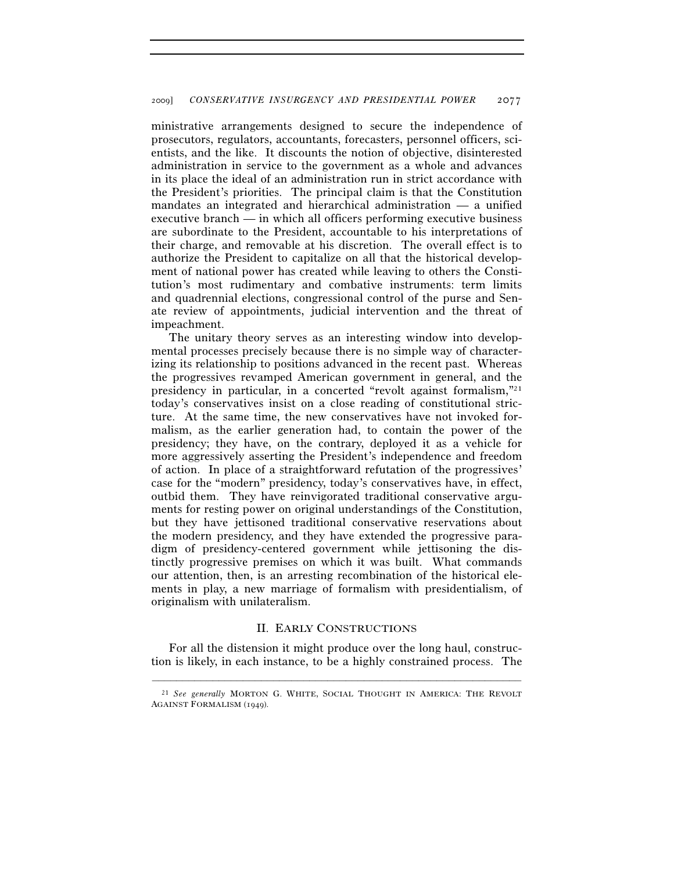ministrative arrangements designed to secure the independence of prosecutors, regulators, accountants, forecasters, personnel officers, scientists, and the like. It discounts the notion of objective, disinterested administration in service to the government as a whole and advances in its place the ideal of an administration run in strict accordance with the President's priorities. The principal claim is that the Constitution mandates an integrated and hierarchical administration — a unified executive branch — in which all officers performing executive business are subordinate to the President, accountable to his interpretations of their charge, and removable at his discretion. The overall effect is to authorize the President to capitalize on all that the historical development of national power has created while leaving to others the Constitution's most rudimentary and combative instruments: term limits and quadrennial elections, congressional control of the purse and Senate review of appointments, judicial intervention and the threat of impeachment.

The unitary theory serves as an interesting window into developmental processes precisely because there is no simple way of characterizing its relationship to positions advanced in the recent past. Whereas the progressives revamped American government in general, and the presidency in particular, in a concerted "revolt against formalism,"<sup>21</sup> today's conservatives insist on a close reading of constitutional stricture. At the same time, the new conservatives have not invoked formalism, as the earlier generation had, to contain the power of the presidency; they have, on the contrary, deployed it as a vehicle for more aggressively asserting the President's independence and freedom of action. In place of a straightforward refutation of the progressives' case for the "modern" presidency, today's conservatives have, in effect, outbid them. They have reinvigorated traditional conservative arguments for resting power on original understandings of the Constitution, but they have jettisoned traditional conservative reservations about the modern presidency, and they have extended the progressive paradigm of presidency-centered government while jettisoning the distinctly progressive premises on which it was built. What commands our attention, then, is an arresting recombination of the historical elements in play, a new marriage of formalism with presidentialism, of originalism with unilateralism.

#### II. EARLY CONSTRUCTIONS

For all the distension it might produce over the long haul, construction is likely, in each instance, to be a highly constrained process. The

<sup>–––––––––––––––––––––––––––––––––––––––––––––––––––––––––––––</sup> 21 *See generally* MORTON G. WHITE, SOCIAL THOUGHT IN AMERICA: THE REVOLT AGAINST FORMALISM (1949).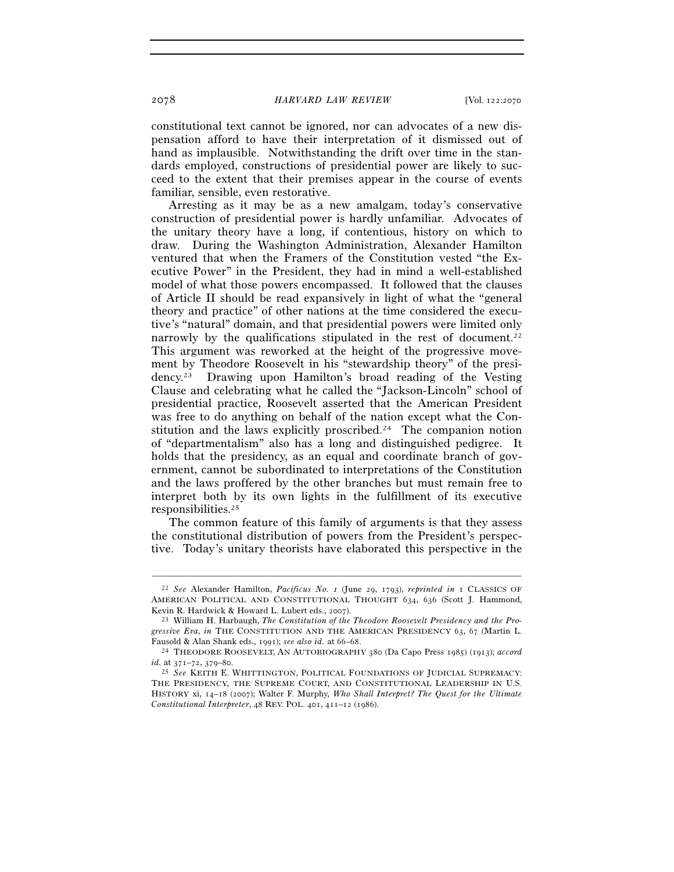constitutional text cannot be ignored, nor can advocates of a new dispensation afford to have their interpretation of it dismissed out of hand as implausible. Notwithstanding the drift over time in the standards employed, constructions of presidential power are likely to succeed to the extent that their premises appear in the course of events familiar, sensible, even restorative.

Arresting as it may be as a new amalgam, today's conservative construction of presidential power is hardly unfamiliar. Advocates of the unitary theory have a long, if contentious, history on which to draw. During the Washington Administration, Alexander Hamilton ventured that when the Framers of the Constitution vested "the Executive Power" in the President, they had in mind a well-established model of what those powers encompassed. It followed that the clauses of Article II should be read expansively in light of what the "general theory and practice" of other nations at the time considered the executive's "natural" domain, and that presidential powers were limited only narrowly by the qualifications stipulated in the rest of document.<sup>22</sup> This argument was reworked at the height of the progressive movement by Theodore Roosevelt in his "stewardship theory" of the presidency.23 Drawing upon Hamilton's broad reading of the Vesting Clause and celebrating what he called the "Jackson-Lincoln" school of presidential practice, Roosevelt asserted that the American President was free to do anything on behalf of the nation except what the Constitution and the laws explicitly proscribed.24 The companion notion of "departmentalism" also has a long and distinguished pedigree. It holds that the presidency, as an equal and coordinate branch of government, cannot be subordinated to interpretations of the Constitution and the laws proffered by the other branches but must remain free to interpret both by its own lights in the fulfillment of its executive responsibilities.25

The common feature of this family of arguments is that they assess the constitutional distribution of powers from the President's perspective. Today's unitary theorists have elaborated this perspective in the

<sup>22</sup> *See* Alexander Hamilton, *Pacificus No. 1* (June 29, 1793), *reprinted in* 1 CLASSICS OF AMERICAN POLITICAL AND CONSTITUTIONAL THOUGHT 634, 636 (Scott J. Hammond, Kevin R. Hardwick & Howard L. Lubert eds., 2007). 23 William H. Harbaugh, *The Constitution of the Theodore Roosevelt Presidency and the Pro-*

*gressive Era*, *in* THE CONSTITUTION AND THE AMERICAN PRESIDENCY 63, 67 (Martin L. Fausold & Alan Shank eds., 1991); *see also id.* at 66–68. 24 THEODORE ROOSEVELT, AN AUTOBIOGRAPHY <sup>380</sup> (Da Capo Press 1985) (1913); *accord*

*id.* at 371–72, 379–80. 25 *See* KEITH E. WHITTINGTON, POLITICAL FOUNDATIONS OF JUDICIAL SUPREMACY:

THE PRESIDENCY, THE SUPREME COURT, AND CONSTITUTIONAL LEADERSHIP IN U.S. HISTORY xi, 14–18 (2007); Walter F. Murphy, *Who Shall Interpret? The Quest for the Ultimate Constitutional Interpreter*, 48 REV. POL. 401, 411–12 (1986).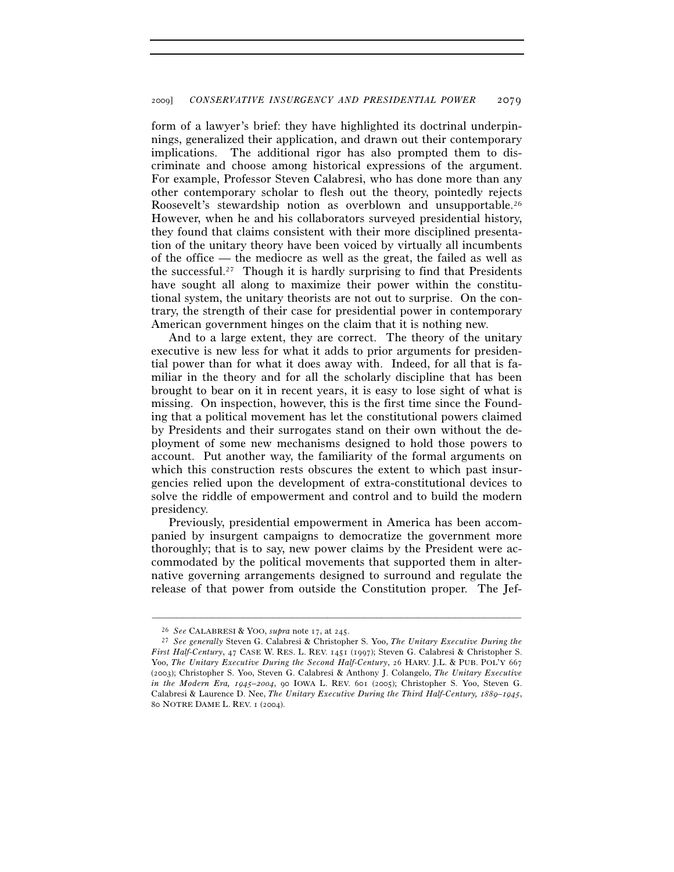form of a lawyer's brief: they have highlighted its doctrinal underpinnings, generalized their application, and drawn out their contemporary implications. The additional rigor has also prompted them to discriminate and choose among historical expressions of the argument. For example, Professor Steven Calabresi, who has done more than any other contemporary scholar to flesh out the theory, pointedly rejects Roosevelt's stewardship notion as overblown and unsupportable.26 However, when he and his collaborators surveyed presidential history, they found that claims consistent with their more disciplined presentation of the unitary theory have been voiced by virtually all incumbents of the office — the mediocre as well as the great, the failed as well as the successful.<sup>27</sup> Though it is hardly surprising to find that Presidents have sought all along to maximize their power within the constitutional system, the unitary theorists are not out to surprise. On the contrary, the strength of their case for presidential power in contemporary American government hinges on the claim that it is nothing new.

And to a large extent, they are correct. The theory of the unitary executive is new less for what it adds to prior arguments for presidential power than for what it does away with. Indeed, for all that is familiar in the theory and for all the scholarly discipline that has been brought to bear on it in recent years, it is easy to lose sight of what is missing. On inspection, however, this is the first time since the Founding that a political movement has let the constitutional powers claimed by Presidents and their surrogates stand on their own without the deployment of some new mechanisms designed to hold those powers to account. Put another way, the familiarity of the formal arguments on which this construction rests obscures the extent to which past insurgencies relied upon the development of extra-constitutional devices to solve the riddle of empowerment and control and to build the modern presidency.

Previously, presidential empowerment in America has been accompanied by insurgent campaigns to democratize the government more thoroughly; that is to say, new power claims by the President were accommodated by the political movements that supported them in alternative governing arrangements designed to surround and regulate the release of that power from outside the Constitution proper. The Jef-

<sup>26</sup> *See* CALABRESI & YOO, *supra* note 17, at 245. 27 *See generally* Steven G. Calabresi & Christopher S. Yoo, *The Unitary Executive During the First Half-Century*, 47 CASE W. RES. L. REV. 1451 (1997); Steven G. Calabresi & Christopher S. Yoo, *The Unitary Executive During the Second Half-Century*, 26 HARV. J.L. & PUB. POL'Y 667 (2003); Christopher S. Yoo, Steven G. Calabresi & Anthony J. Colangelo, *The Unitary Executive in the Modern Era, 1945–2004*, 90 IOWA L. REV. 601 (2005); Christopher S. Yoo, Steven G. Calabresi & Laurence D. Nee, *The Unitary Executive During the Third Half-Century, 1889–1945*, 80 NOTRE DAME L. REV. 1 (2004).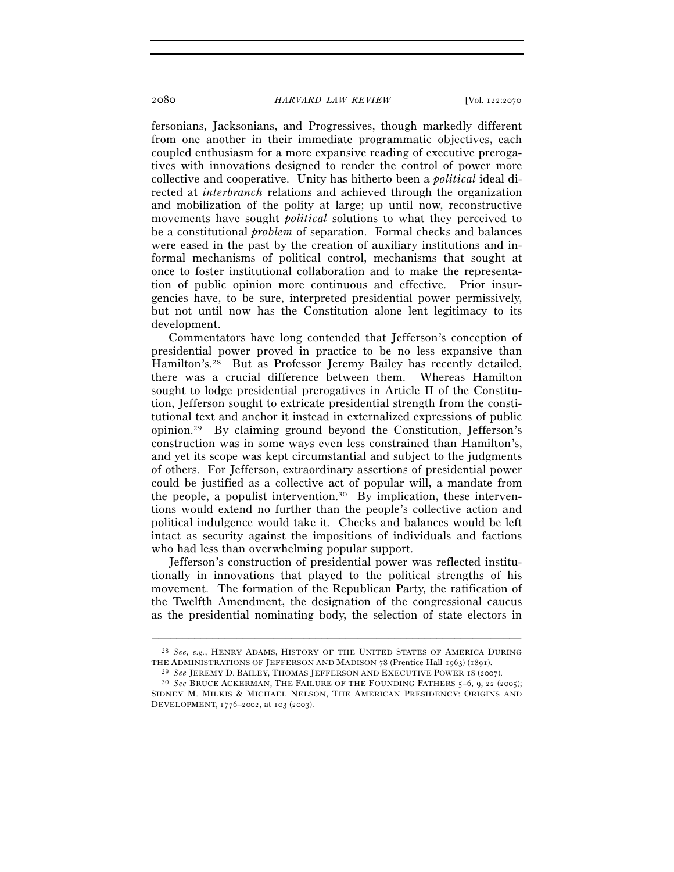fersonians, Jacksonians, and Progressives, though markedly different from one another in their immediate programmatic objectives, each coupled enthusiasm for a more expansive reading of executive prerogatives with innovations designed to render the control of power more collective and cooperative. Unity has hitherto been a *political* ideal directed at *interbranch* relations and achieved through the organization and mobilization of the polity at large; up until now, reconstructive movements have sought *political* solutions to what they perceived to be a constitutional *problem* of separation. Formal checks and balances were eased in the past by the creation of auxiliary institutions and informal mechanisms of political control, mechanisms that sought at once to foster institutional collaboration and to make the representation of public opinion more continuous and effective. Prior insurgencies have, to be sure, interpreted presidential power permissively, but not until now has the Constitution alone lent legitimacy to its development.

Commentators have long contended that Jefferson's conception of presidential power proved in practice to be no less expansive than Hamilton's.28 But as Professor Jeremy Bailey has recently detailed, there was a crucial difference between them. Whereas Hamilton sought to lodge presidential prerogatives in Article II of the Constitution, Jefferson sought to extricate presidential strength from the constitutional text and anchor it instead in externalized expressions of public opinion.29 By claiming ground beyond the Constitution, Jefferson's construction was in some ways even less constrained than Hamilton's, and yet its scope was kept circumstantial and subject to the judgments of others. For Jefferson, extraordinary assertions of presidential power could be justified as a collective act of popular will, a mandate from the people, a populist intervention.30 By implication, these interventions would extend no further than the people's collective action and political indulgence would take it. Checks and balances would be left intact as security against the impositions of individuals and factions who had less than overwhelming popular support.

Jefferson's construction of presidential power was reflected institutionally in innovations that played to the political strengths of his movement. The formation of the Republican Party, the ratification of the Twelfth Amendment, the designation of the congressional caucus as the presidential nominating body, the selection of state electors in

<sup>–––––––––––––––––––––––––––––––––––––––––––––––––––––––––––––</sup> 28 *See, e.g.*, HENRY ADAMS, HISTORY OF THE UNITED STATES OF AMERICA DURING THE ADMINISTRATIONS OF JEFFERSON AND MADISON 78 (Prentice Hall 1963) (1891).<br><sup>29</sup> See JEREMY D. BAILEY, THOMAS JEFFERSON AND EXECUTIVE POWER 18 (2007).<br><sup>30</sup> See BRUCE ACKERMAN, THE FAILURE OF THE FOUNDING FATHERS 5–6, 9,

SIDNEY M. MILKIS & MICHAEL NELSON, THE AMERICAN PRESIDENCY: ORIGINS AND DEVELOPMENT, 1776–2002, at 103 (2003).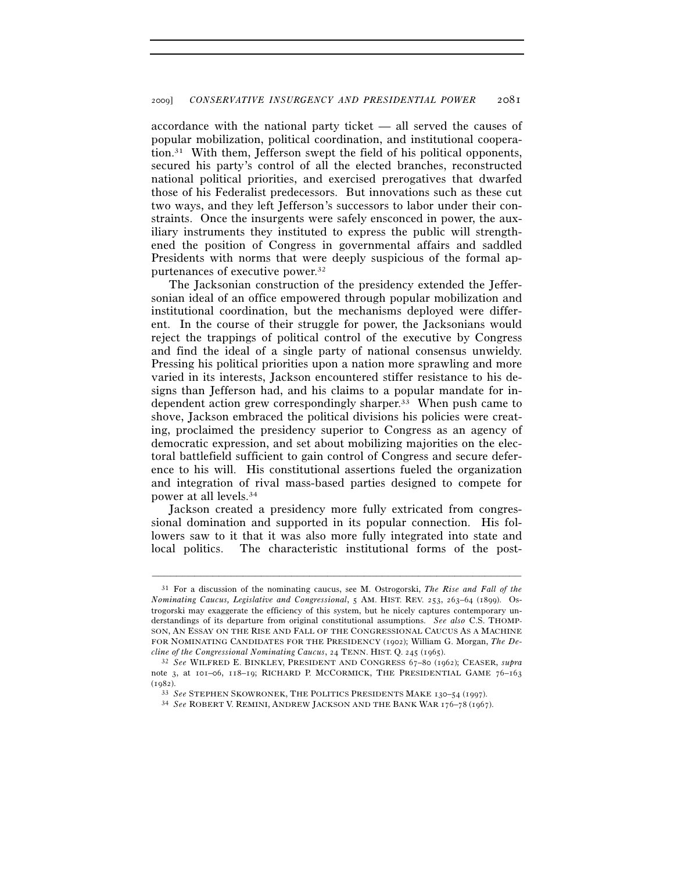accordance with the national party ticket — all served the causes of popular mobilization, political coordination, and institutional cooperation.31 With them, Jefferson swept the field of his political opponents, secured his party's control of all the elected branches, reconstructed national political priorities, and exercised prerogatives that dwarfed those of his Federalist predecessors. But innovations such as these cut two ways, and they left Jefferson's successors to labor under their constraints. Once the insurgents were safely ensconced in power, the auxiliary instruments they instituted to express the public will strengthened the position of Congress in governmental affairs and saddled Presidents with norms that were deeply suspicious of the formal appurtenances of executive power.32

The Jacksonian construction of the presidency extended the Jeffersonian ideal of an office empowered through popular mobilization and institutional coordination, but the mechanisms deployed were different. In the course of their struggle for power, the Jacksonians would reject the trappings of political control of the executive by Congress and find the ideal of a single party of national consensus unwieldy. Pressing his political priorities upon a nation more sprawling and more varied in its interests, Jackson encountered stiffer resistance to his designs than Jefferson had, and his claims to a popular mandate for independent action grew correspondingly sharper.33 When push came to shove, Jackson embraced the political divisions his policies were creating, proclaimed the presidency superior to Congress as an agency of democratic expression, and set about mobilizing majorities on the electoral battlefield sufficient to gain control of Congress and secure deference to his will. His constitutional assertions fueled the organization and integration of rival mass-based parties designed to compete for power at all levels.34

Jackson created a presidency more fully extricated from congressional domination and supported in its popular connection. His followers saw to it that it was also more fully integrated into state and local politics. The characteristic institutional forms of the post-

<sup>31</sup> For a discussion of the nominating caucus, see M. Ostrogorski, *The Rise and Fall of the Nominating Caucus, Legislative and Congressional*, 5 AM. HIST. REV. 253, 263–64 (1899). Ostrogorski may exaggerate the efficiency of this system, but he nicely captures contemporary understandings of its departure from original constitutional assumptions. *See also* C.S. THOMP-SON, AN ESSAY ON THE RISE AND FALL OF THE CONGRESSIONAL CAUCUS AS A MACHINE FOR NOMINATING CANDIDATES FOR THE PRESIDENCY (1902); William G. Morgan, *The De-*

*cline of the Congressional Nominating Caucus*, 24 TENN. HIST. Q. <sup>245</sup> (1965). 32 *See* WILFRED E. BINKLEY, PRESIDENT AND CONGRESS <sup>67</sup>–80 (1962); CEASER, *supra* note 3, at 101–06, 118–19; RICHARD P. MCCORMICK, THE PRESIDENTIAL GAME 76–163 (1982). 33 *See* STEPHEN SKOWRONEK, THE POLITICS PRESIDENTS MAKE <sup>130</sup>–54 (1997). 34 *See* ROBERT V. REMINI, ANDREW JACKSON AND THE BANK WAR <sup>176</sup>–<sup>78</sup> (1967).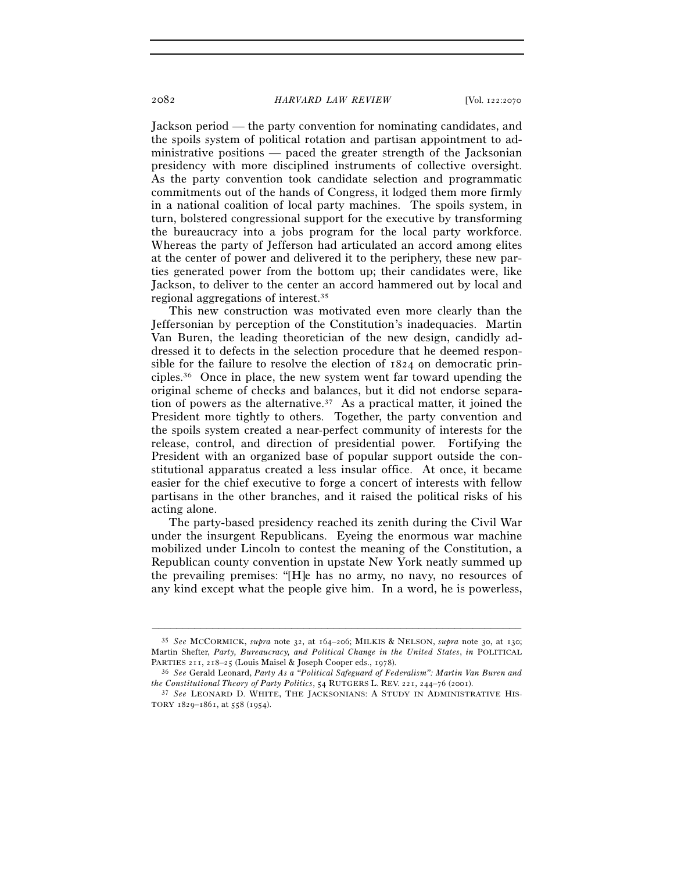Jackson period — the party convention for nominating candidates, and the spoils system of political rotation and partisan appointment to administrative positions — paced the greater strength of the Jacksonian presidency with more disciplined instruments of collective oversight. As the party convention took candidate selection and programmatic commitments out of the hands of Congress, it lodged them more firmly in a national coalition of local party machines. The spoils system, in turn, bolstered congressional support for the executive by transforming the bureaucracy into a jobs program for the local party workforce. Whereas the party of Jefferson had articulated an accord among elites at the center of power and delivered it to the periphery, these new parties generated power from the bottom up; their candidates were, like Jackson, to deliver to the center an accord hammered out by local and regional aggregations of interest.35

This new construction was motivated even more clearly than the Jeffersonian by perception of the Constitution's inadequacies. Martin Van Buren, the leading theoretician of the new design, candidly addressed it to defects in the selection procedure that he deemed responsible for the failure to resolve the election of 1824 on democratic principles.<sup>36</sup> Once in place, the new system went far toward upending the original scheme of checks and balances, but it did not endorse separation of powers as the alternative.<sup>37</sup> As a practical matter, it joined the President more tightly to others. Together, the party convention and the spoils system created a near-perfect community of interests for the release, control, and direction of presidential power. Fortifying the President with an organized base of popular support outside the constitutional apparatus created a less insular office. At once, it became easier for the chief executive to forge a concert of interests with fellow partisans in the other branches, and it raised the political risks of his acting alone.

The party-based presidency reached its zenith during the Civil War under the insurgent Republicans. Eyeing the enormous war machine mobilized under Lincoln to contest the meaning of the Constitution, a Republican county convention in upstate New York neatly summed up the prevailing premises: "[H]e has no army, no navy, no resources of any kind except what the people give him. In a word, he is powerless,

<sup>35</sup> *See* MCCORMICK, *supra* note 32, at 164–206; MILKIS & NELSON, *supra* note 30, at 130; Martin Shefter, *Party, Bureaucracy, and Political Change in the United States*, *in* POLITICAL

PARTIES <sup>211</sup>, 218–25 (Louis Maisel & Joseph Cooper eds., 1978). 36 *See* Gerald Leonard, *Party As a "Political Safeguard of Federalism": Martin Van Buren and* 

<sup>&</sup>lt;sup>37</sup> See LEONARD D. WHITE, THE JACKSONIANS: A STUDY IN ADMINISTRATIVE HIS-TORY 1829–1861, at 558 (1954).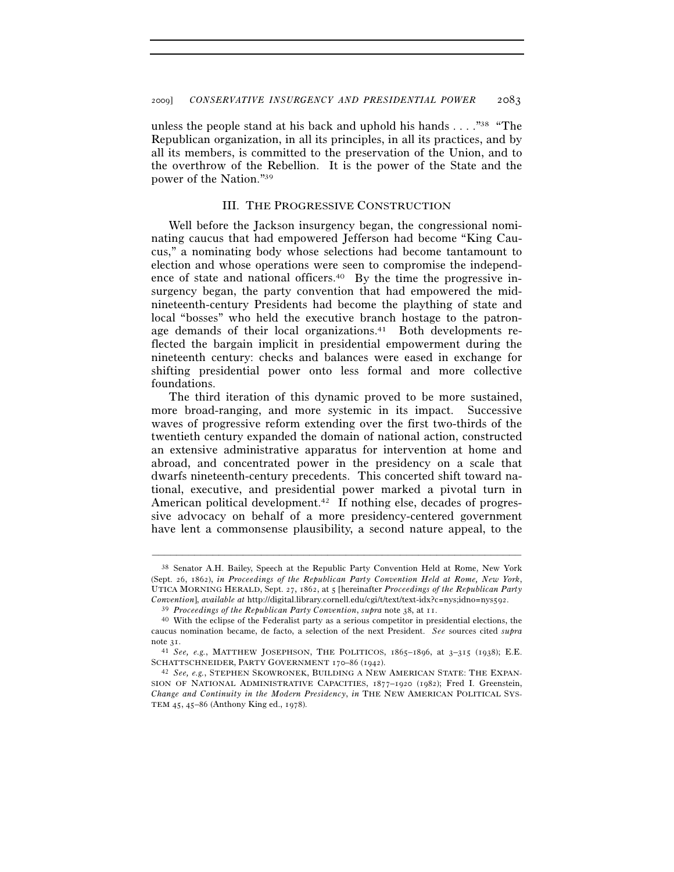unless the people stand at his back and uphold his hands . . . ."38 "The Republican organization, in all its principles, in all its practices, and by all its members, is committed to the preservation of the Union, and to the overthrow of the Rebellion. It is the power of the State and the power of the Nation."39

### III. THE PROGRESSIVE CONSTRUCTION

Well before the Jackson insurgency began, the congressional nominating caucus that had empowered Jefferson had become "King Caucus," a nominating body whose selections had become tantamount to election and whose operations were seen to compromise the independence of state and national officers.<sup>40</sup> By the time the progressive insurgency began, the party convention that had empowered the midnineteenth-century Presidents had become the plaything of state and local "bosses" who held the executive branch hostage to the patronage demands of their local organizations.<sup>41</sup> Both developments reflected the bargain implicit in presidential empowerment during the nineteenth century: checks and balances were eased in exchange for shifting presidential power onto less formal and more collective foundations.

The third iteration of this dynamic proved to be more sustained, more broad-ranging, and more systemic in its impact. Successive waves of progressive reform extending over the first two-thirds of the twentieth century expanded the domain of national action, constructed an extensive administrative apparatus for intervention at home and abroad, and concentrated power in the presidency on a scale that dwarfs nineteenth-century precedents. This concerted shift toward national, executive, and presidential power marked a pivotal turn in American political development.<sup>42</sup> If nothing else, decades of progressive advocacy on behalf of a more presidency-centered government have lent a commonsense plausibility, a second nature appeal, to the

<sup>38</sup> Senator A.H. Bailey, Speech at the Republic Party Convention Held at Rome, New York (Sept. 26, 1862), *in Proceedings of the Republican Party Convention Held at Rome, New York*, UTICA MORNING HERALD, Sept. 27, 1862, at 5 [hereinafter *Proceedings of the Republican Party Convention*], *available at http://digital.library.cornell.edu/cgi/t/text/text-idx?c=nys;idno=nys592.*<br><sup>39</sup> *Proceedings of the Republican Party Convention, supra* note 38, at 11.<br><sup>40</sup> With the eclipse of the Federalist

caucus nomination became, de facto, a selection of the next President. *See* sources cited *supra* note 31.<br><sup>41</sup> *See, e.g.*, MATTHEW JOSEPHSON, THE POLITICOS, 1865–1896, at 3–315 (1938); E.E.

SCHATTSCHNEIDER, PARTY GOVERNMENT 170–86 (1942).<br><sup>42</sup> *See, e.g.*, STEPHEN SKOWRONEK, BUILDING A NEW AMERICAN STATE: THE EXPAN-

SION OF NATIONAL ADMINISTRATIVE CAPACITIES, 1877–1920 (1982); Fred I. Greenstein, *Change and Continuity in the Modern Presidency*, *in* THE NEW AMERICAN POLITICAL SYS-TEM 45, 45–86 (Anthony King ed., 1978).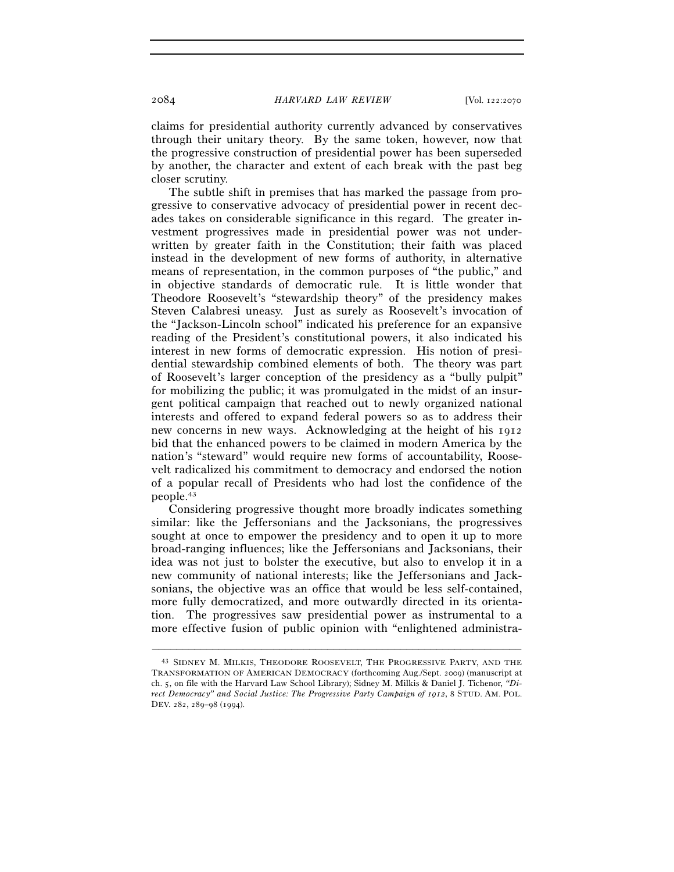claims for presidential authority currently advanced by conservatives through their unitary theory. By the same token, however, now that the progressive construction of presidential power has been superseded by another, the character and extent of each break with the past beg closer scrutiny.

The subtle shift in premises that has marked the passage from progressive to conservative advocacy of presidential power in recent decades takes on considerable significance in this regard. The greater investment progressives made in presidential power was not underwritten by greater faith in the Constitution; their faith was placed instead in the development of new forms of authority, in alternative means of representation, in the common purposes of "the public," and in objective standards of democratic rule. It is little wonder that Theodore Roosevelt's "stewardship theory" of the presidency makes Steven Calabresi uneasy. Just as surely as Roosevelt's invocation of the "Jackson-Lincoln school" indicated his preference for an expansive reading of the President's constitutional powers, it also indicated his interest in new forms of democratic expression. His notion of presidential stewardship combined elements of both. The theory was part of Roosevelt's larger conception of the presidency as a "bully pulpit" for mobilizing the public; it was promulgated in the midst of an insurgent political campaign that reached out to newly organized national interests and offered to expand federal powers so as to address their new concerns in new ways. Acknowledging at the height of his 1912 bid that the enhanced powers to be claimed in modern America by the nation's "steward" would require new forms of accountability, Roosevelt radicalized his commitment to democracy and endorsed the notion of a popular recall of Presidents who had lost the confidence of the people.43

Considering progressive thought more broadly indicates something similar: like the Jeffersonians and the Jacksonians, the progressives sought at once to empower the presidency and to open it up to more broad-ranging influences; like the Jeffersonians and Jacksonians, their idea was not just to bolster the executive, but also to envelop it in a new community of national interests; like the Jeffersonians and Jacksonians, the objective was an office that would be less self-contained, more fully democratized, and more outwardly directed in its orientation. The progressives saw presidential power as instrumental to a more effective fusion of public opinion with "enlightened administra-

<sup>43</sup> SIDNEY M. MILKIS, THEODORE ROOSEVELT, THE PROGRESSIVE PARTY, AND THE TRANSFORMATION OF AMERICAN DEMOCRACY (forthcoming Aug./Sept. 2009) (manuscript at ch. 5, on file with the Harvard Law School Library); Sidney M. Milkis & Daniel J. Tichenor, *"Di*rect Democracy" and Social Justice: The Progressive Party Campaign of 1912, 8 STUD. AM. POL. DEV. 282, 289–98 (1994).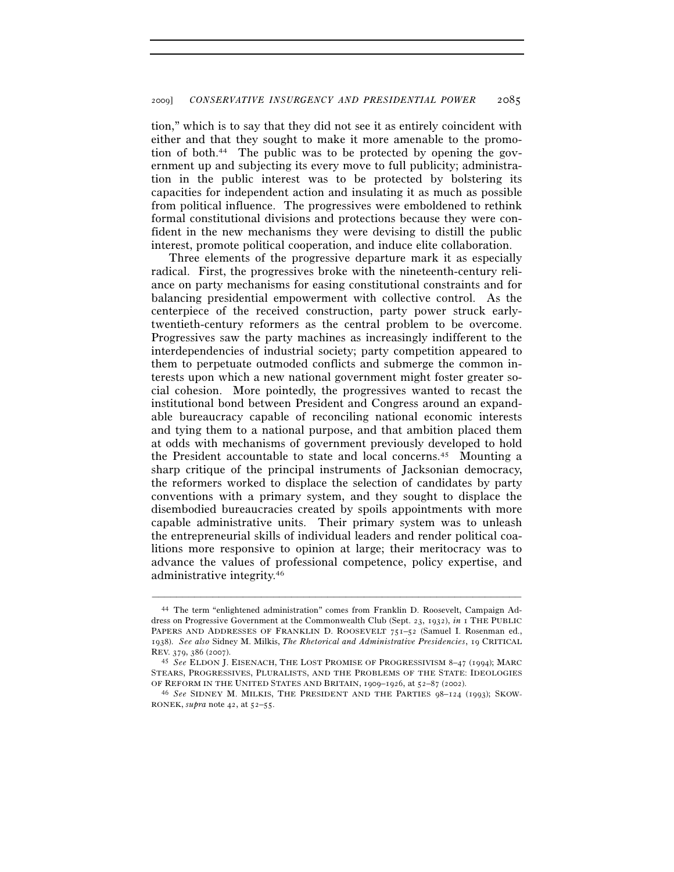tion," which is to say that they did not see it as entirely coincident with either and that they sought to make it more amenable to the promotion of both.44 The public was to be protected by opening the government up and subjecting its every move to full publicity; administration in the public interest was to be protected by bolstering its capacities for independent action and insulating it as much as possible from political influence. The progressives were emboldened to rethink formal constitutional divisions and protections because they were confident in the new mechanisms they were devising to distill the public interest, promote political cooperation, and induce elite collaboration.

Three elements of the progressive departure mark it as especially radical. First, the progressives broke with the nineteenth-century reliance on party mechanisms for easing constitutional constraints and for balancing presidential empowerment with collective control. As the centerpiece of the received construction, party power struck earlytwentieth-century reformers as the central problem to be overcome. Progressives saw the party machines as increasingly indifferent to the interdependencies of industrial society; party competition appeared to them to perpetuate outmoded conflicts and submerge the common interests upon which a new national government might foster greater social cohesion. More pointedly, the progressives wanted to recast the institutional bond between President and Congress around an expandable bureaucracy capable of reconciling national economic interests and tying them to a national purpose, and that ambition placed them at odds with mechanisms of government previously developed to hold the President accountable to state and local concerns.45 Mounting a sharp critique of the principal instruments of Jacksonian democracy, the reformers worked to displace the selection of candidates by party conventions with a primary system, and they sought to displace the disembodied bureaucracies created by spoils appointments with more capable administrative units. Their primary system was to unleash the entrepreneurial skills of individual leaders and render political coalitions more responsive to opinion at large; their meritocracy was to advance the values of professional competence, policy expertise, and administrative integrity.46

<sup>44</sup> The term "enlightened administration" comes from Franklin D. Roosevelt, Campaign Address on Progressive Government at the Commonwealth Club (Sept. 23, 1932), *in* 1 THE PUBLIC PAPERS AND ADDRESSES OF FRANKLIN D. ROOSEVELT 751-52 (Samuel I. Rosenman ed., 1938). *See also* Sidney M. Milkis, *The Rhetorical and Administrative Presidencies*, 19 CRITICAL

<sup>&</sup>lt;sup>45</sup> See ELDON J. EISENACH, THE LOST PROMISE OF PROGRESSIVISM 8–47 (1994); MARC STEARS, PROGRESSIVES, PLURALISTS, AND THE PROBLEMS OF THE STATE: IDEOLOGIES OF REFORM IN THE UNITED STATES AND BRITAIN, 1909-1926, at 52-87 (2002).

<sup>&</sup>lt;sup>46</sup> See SIDNEY M. MILKIS, THE PRESIDENT AND THE PARTIES 98–124 (1993); SKOW-RONEK, *supra* note 42, at 52–55.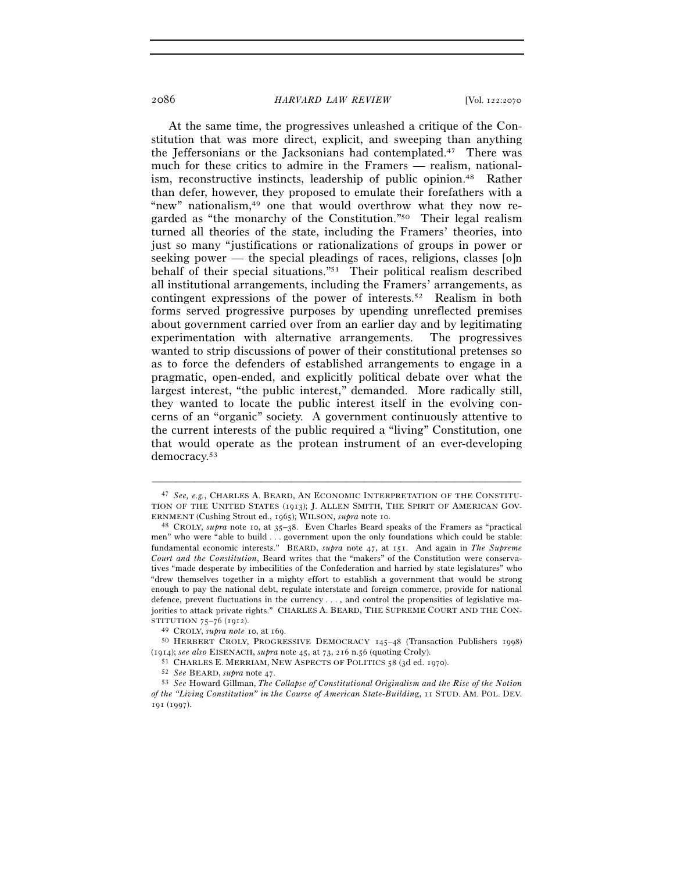At the same time, the progressives unleashed a critique of the Constitution that was more direct, explicit, and sweeping than anything the Jeffersonians or the Jacksonians had contemplated.47 There was much for these critics to admire in the Framers — realism, nationalism, reconstructive instincts, leadership of public opinion.<sup>48</sup> Rather than defer, however, they proposed to emulate their forefathers with a "new" nationalism,<sup>49</sup> one that would overthrow what they now regarded as "the monarchy of the Constitution."50 Their legal realism turned all theories of the state, including the Framers' theories, into just so many "justifications or rationalizations of groups in power or seeking power — the special pleadings of races, religions, classes [o]n behalf of their special situations."51 Their political realism described all institutional arrangements, including the Framers' arrangements, as contingent expressions of the power of interests.52 Realism in both forms served progressive purposes by upending unreflected premises about government carried over from an earlier day and by legitimating experimentation with alternative arrangements. The progressives wanted to strip discussions of power of their constitutional pretenses so as to force the defenders of established arrangements to engage in a pragmatic, open-ended, and explicitly political debate over what the largest interest, "the public interest," demanded. More radically still, they wanted to locate the public interest itself in the evolving concerns of an "organic" society. A government continuously attentive to the current interests of the public required a "living" Constitution, one that would operate as the protean instrument of an ever-developing democracy.53

<sup>47</sup> *See, e.g.*, CHARLES A. BEARD, AN ECONOMIC INTERPRETATION OF THE CONSTITU-TION OF THE UNITED STATES (1913); J. ALLEN SMITH, THE SPIRIT OF AMERICAN GOV-ERNMENT (Cushing Strout ed., 1965); WILSON, *supra* note 10.<br><sup>48</sup> CROLY, *supra* note 10, at 35–38. Even Charles Beard speaks of the Framers as "practical"

men" who were "able to build . . . government upon the only foundations which could be stable: fundamental economic interests." BEARD, *supra* note 47, at 151. And again in *The Supreme Court and the Constitution*, Beard writes that the "makers" of the Constitution were conservatives "made desperate by imbecilities of the Confederation and harried by state legislatures" who "drew themselves together in a mighty effort to establish a government that would be strong enough to pay the national debt, regulate interstate and foreign commerce, provide for national defence, prevent fluctuations in the currency . . . , and control the propensities of legislative majorities to attack private rights." CHARLES A. BEARD, THE SUPREME COURT AND THE CON-STITUTION 75–76 (1912).<br><sup>49</sup> CROLY, *supra note* 10, at 169.<br><sup>50</sup> HERBERT CROLY, PROGRESSIVE DEMOCRACY 145–48 (Transaction Publishers 1998)

<sup>(1914);</sup> see also EISENACH, supra note 45, at 73, 216 n.56 (quoting Croly).<br>
<sup>51</sup> CHARLES E. MERRIAM, NEW ASPECTS OF POLITICS 58 (3d ed. 1970).<br>
<sup>52</sup> See BEARD, supra note 47.<br>
<sup>53</sup> See Howard Gillman, *The Collapse of Con* 

*of the "Living Constitution" in the Course of American State-Buildin*g, 11 STUD. AM. POL. DEV. 191 (1997).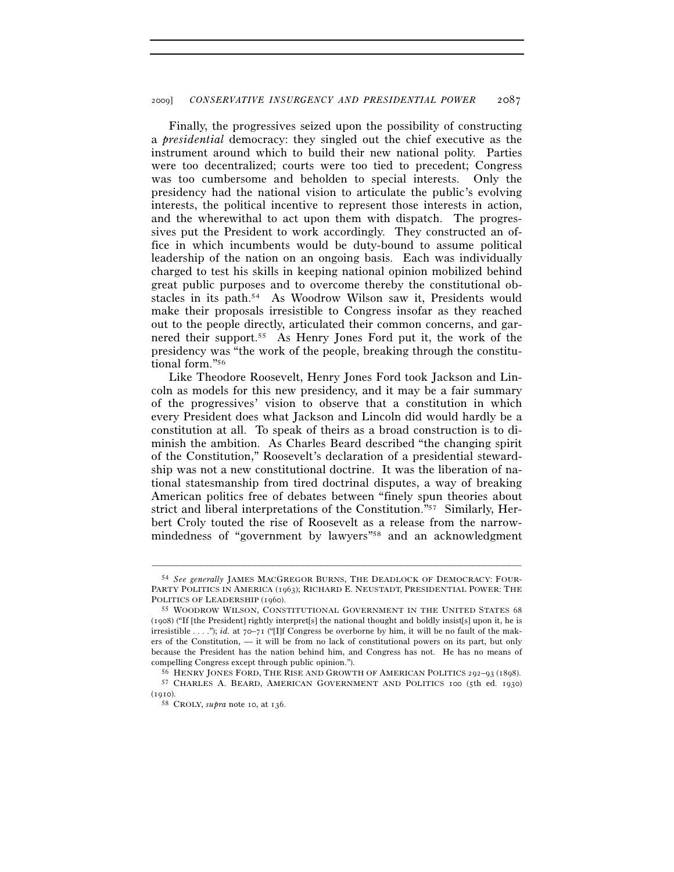Finally, the progressives seized upon the possibility of constructing a *presidential* democracy: they singled out the chief executive as the instrument around which to build their new national polity. Parties were too decentralized; courts were too tied to precedent; Congress was too cumbersome and beholden to special interests. Only the presidency had the national vision to articulate the public's evolving interests, the political incentive to represent those interests in action, and the wherewithal to act upon them with dispatch. The progressives put the President to work accordingly. They constructed an office in which incumbents would be duty-bound to assume political leadership of the nation on an ongoing basis. Each was individually charged to test his skills in keeping national opinion mobilized behind great public purposes and to overcome thereby the constitutional obstacles in its path.54 As Woodrow Wilson saw it, Presidents would make their proposals irresistible to Congress insofar as they reached out to the people directly, articulated their common concerns, and garnered their support.<sup>55</sup> As Henry Jones Ford put it, the work of the presidency was "the work of the people, breaking through the constitutional form."56

Like Theodore Roosevelt, Henry Jones Ford took Jackson and Lincoln as models for this new presidency, and it may be a fair summary of the progressives' vision to observe that a constitution in which every President does what Jackson and Lincoln did would hardly be a constitution at all. To speak of theirs as a broad construction is to diminish the ambition. As Charles Beard described "the changing spirit of the Constitution," Roosevelt's declaration of a presidential stewardship was not a new constitutional doctrine. It was the liberation of national statesmanship from tired doctrinal disputes, a way of breaking American politics free of debates between "finely spun theories about strict and liberal interpretations of the Constitution."57 Similarly, Herbert Croly touted the rise of Roosevelt as a release from the narrowmindedness of "government by lawyers"58 and an acknowledgment

<sup>54</sup> *See generally* JAMES MACGREGOR BURNS, THE DEADLOCK OF DEMOCRACY: FOUR-PARTY POLITICS IN AMERICA (1963); RICHARD E. NEUSTADT, PRESIDENTIAL POWER: THE POLITICS OF LEADERSHIP (1960).<br><sup>55</sup> WOODROW WILSON, CONSTITUTIONAL GOVERNMENT IN THE UNITED STATES 68

<sup>(</sup>1908) ("If [the President] rightly interpret[s] the national thought and boldly insist[s] upon it, he is irresistible . . . ."); *id.* at  $70-71$  ("[I]f Congress be overborne by him, it will be no fault of the makers of the Constitution, — it will be from no lack of constitutional powers on its part, but only because the President has the nation behind him, and Congress has not. He has no means of

compelling Congress except through public opinion.").<br>56 HENRY JONES FORD, THE RISE AND GROWTH OF AMERICAN POLITICS 292–93 (1898).<br>57 CHARLES A. BEARD, AMERICAN GOVERNMENT AND POLITICS 100 (5th ed. 1930)

<sup>(</sup>1910). 58 CROLY, *supra* note 10, at 136.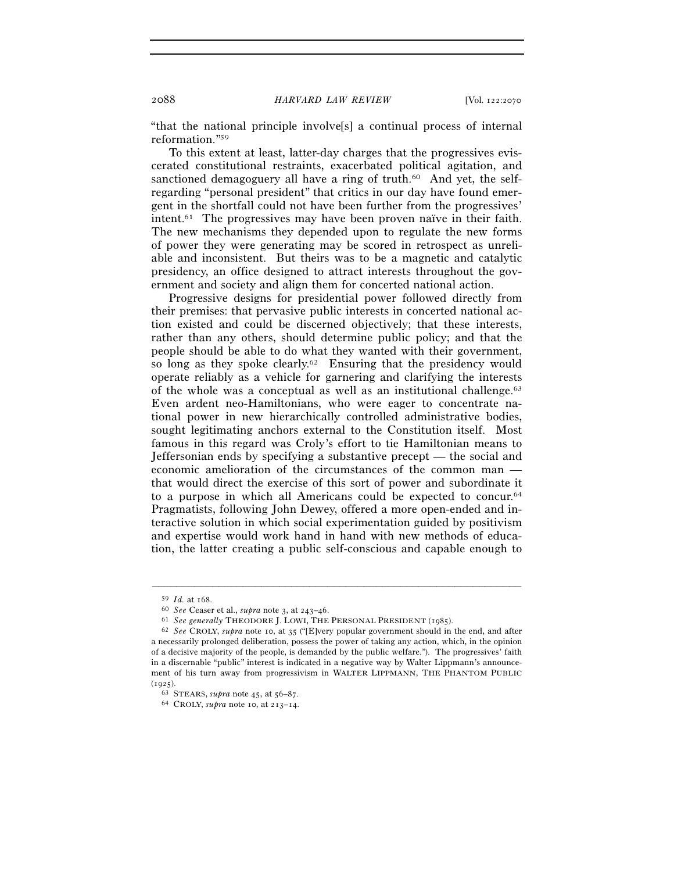"that the national principle involve[s] a continual process of internal reformation."59

To this extent at least, latter-day charges that the progressives eviscerated constitutional restraints, exacerbated political agitation, and sanctioned demagoguery all have a ring of truth.<sup>60</sup> And yet, the selfregarding "personal president" that critics in our day have found emergent in the shortfall could not have been further from the progressives' intent.61 The progressives may have been proven naïve in their faith. The new mechanisms they depended upon to regulate the new forms of power they were generating may be scored in retrospect as unreliable and inconsistent. But theirs was to be a magnetic and catalytic presidency, an office designed to attract interests throughout the government and society and align them for concerted national action.

Progressive designs for presidential power followed directly from their premises: that pervasive public interests in concerted national action existed and could be discerned objectively; that these interests, rather than any others, should determine public policy; and that the people should be able to do what they wanted with their government, so long as they spoke clearly.<sup>62</sup> Ensuring that the presidency would operate reliably as a vehicle for garnering and clarifying the interests of the whole was a conceptual as well as an institutional challenge.63 Even ardent neo-Hamiltonians, who were eager to concentrate national power in new hierarchically controlled administrative bodies, sought legitimating anchors external to the Constitution itself. Most famous in this regard was Croly's effort to tie Hamiltonian means to Jeffersonian ends by specifying a substantive precept — the social and economic amelioration of the circumstances of the common man that would direct the exercise of this sort of power and subordinate it to a purpose in which all Americans could be expected to concur.64 Pragmatists, following John Dewey, offered a more open-ended and interactive solution in which social experimentation guided by positivism and expertise would work hand in hand with new methods of education, the latter creating a public self-conscious and capable enough to

<sup>&</sup>lt;sup>59</sup> *Id.* at 168.<br>
<sup>60</sup> *See* Ceaser et al., *supra* note 3, at 243–46.<br>
<sup>61</sup> *See generally* THEODORE J. LOWI, THE PERSONAL PRESIDENT (1985).<br>
<sup>62</sup> *See* CROLY, *supra* note 10, at 35 ("[E]very popular government should a necessarily prolonged deliberation, possess the power of taking any action, which, in the opinion of a decisive majority of the people, is demanded by the public welfare."). The progressives' faith in a discernable "public" interest is indicated in a negative way by Walter Lippmann's announcement of his turn away from progressivism in WALTER LIPPMANN, THE PHANTOM PUBLIC (1925). 63 STEARS, *supra* note 45, at 56–87. 64 CROLY, *supra* note 10, at 213–14.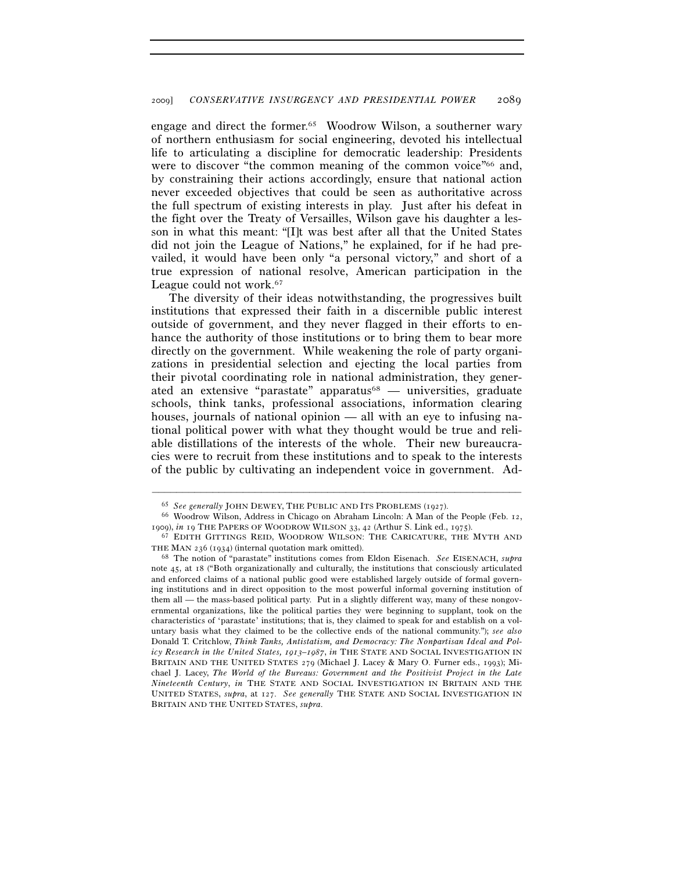engage and direct the former.65 Woodrow Wilson, a southerner wary of northern enthusiasm for social engineering, devoted his intellectual life to articulating a discipline for democratic leadership: Presidents were to discover "the common meaning of the common voice"66 and, by constraining their actions accordingly, ensure that national action never exceeded objectives that could be seen as authoritative across the full spectrum of existing interests in play. Just after his defeat in the fight over the Treaty of Versailles, Wilson gave his daughter a lesson in what this meant: "[I]t was best after all that the United States did not join the League of Nations," he explained, for if he had prevailed, it would have been only "a personal victory," and short of a true expression of national resolve, American participation in the League could not work.67

The diversity of their ideas notwithstanding, the progressives built institutions that expressed their faith in a discernible public interest outside of government, and they never flagged in their efforts to enhance the authority of those institutions or to bring them to bear more directly on the government. While weakening the role of party organizations in presidential selection and ejecting the local parties from their pivotal coordinating role in national administration, they generated an extensive "parastate" apparatus<sup>68</sup> — universities, graduate schools, think tanks, professional associations, information clearing houses, journals of national opinion — all with an eye to infusing national political power with what they thought would be true and reliable distillations of the interests of the whole. Their new bureaucracies were to recruit from these institutions and to speak to the interests of the public by cultivating an independent voice in government. Ad-

<sup>&</sup>lt;sup>65</sup> *See generally* JOHN DEWEY, THE PUBLIC AND ITS PROBLEMS (1927).<br><sup>66</sup> Woodrow Wilson, Address in Chicago on Abraham Lincoln: A Man of the People (Feb. 12, 1909), *in* 19 THE PAPERS OF WOODROW WILSON 33, 42 (Arthur S. L

<sup>&</sup>lt;sup>67</sup> EDITH GITTINGS REID, WOODROW WILSON: THE CARICATURE, THE MYTH AND THE MAN <sup>236</sup> (1934) (internal quotation mark omitted). 68 The notion of "parastate" institutions comes from Eldon Eisenach. *See* EISENACH, *supra*

note 45, at 18 ("Both organizationally and culturally, the institutions that consciously articulated and enforced claims of a national public good were established largely outside of formal governing institutions and in direct opposition to the most powerful informal governing institution of them all — the mass-based political party. Put in a slightly different way, many of these nongovernmental organizations, like the political parties they were beginning to supplant, took on the characteristics of 'parastate' institutions; that is, they claimed to speak for and establish on a voluntary basis what they claimed to be the collective ends of the national community."); *see also* Donald T. Critchlow, *Think Tanks, Antistatism, and Democracy: The Nonpartisan Ideal and Policy Research in the United States, 1913–1987*, *in* THE STATE AND SOCIAL INVESTIGATION IN BRITAIN AND THE UNITED STATES 279 (Michael J. Lacey & Mary O. Furner eds., 1993); Michael J. Lacey, *The World of the Bureaus: Government and the Positivist Project in the Late Nineteenth Century*, *in* THE STATE AND SOCIAL INVESTIGATION IN BRITAIN AND THE UNITED STATES, *supra*, at 127. *See generally* THE STATE AND SOCIAL INVESTIGATION IN BRITAIN AND THE UNITED STATES, *supra*.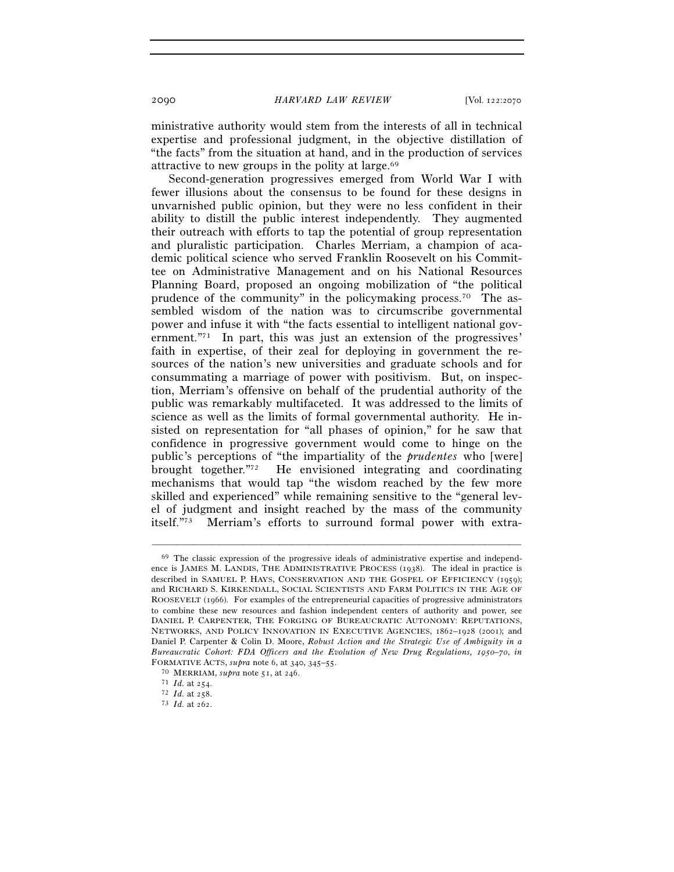ministrative authority would stem from the interests of all in technical expertise and professional judgment, in the objective distillation of "the facts" from the situation at hand, and in the production of services attractive to new groups in the polity at large.<sup>69</sup>

Second-generation progressives emerged from World War I with fewer illusions about the consensus to be found for these designs in unvarnished public opinion, but they were no less confident in their ability to distill the public interest independently. They augmented their outreach with efforts to tap the potential of group representation and pluralistic participation. Charles Merriam, a champion of academic political science who served Franklin Roosevelt on his Committee on Administrative Management and on his National Resources Planning Board, proposed an ongoing mobilization of "the political prudence of the community" in the policymaking process.70 The assembled wisdom of the nation was to circumscribe governmental power and infuse it with "the facts essential to intelligent national government. $\frac{1}{71}$  In part, this was just an extension of the progressives' faith in expertise, of their zeal for deploying in government the resources of the nation's new universities and graduate schools and for consummating a marriage of power with positivism. But, on inspection, Merriam's offensive on behalf of the prudential authority of the public was remarkably multifaceted. It was addressed to the limits of science as well as the limits of formal governmental authority. He insisted on representation for "all phases of opinion," for he saw that confidence in progressive government would come to hinge on the public's perceptions of "the impartiality of the *prudentes* who [were] brought together."72 He envisioned integrating and coordinating mechanisms that would tap "the wisdom reached by the few more skilled and experienced" while remaining sensitive to the "general level of judgment and insight reached by the mass of the community itself."73 Merriam's efforts to surround formal power with extra-

 $69$  The classic expression of the progressive ideals of administrative expertise and independence is JAMES M. LANDIS, THE ADMINISTRATIVE PROCESS (1938). The ideal in practice is described in SAMUEL P. HAYS, CONSERVATION AND THE GOSPEL OF EFFICIENCY (1959); and RICHARD S. KIRKENDALL, SOCIAL SCIENTISTS AND FARM POLITICS IN THE AGE OF ROOSEVELT (1966). For examples of the entrepreneurial capacities of progressive administrators to combine these new resources and fashion independent centers of authority and power, see DANIEL P. CARPENTER, THE FORGING OF BUREAUCRATIC AUTONOMY: REPUTATIONS, NETWORKS, AND POLICY INNOVATION IN EXECUTIVE AGENCIES, 1862–1928 (2001); and Daniel P. Carpenter & Colin D. Moore, *Robust Action and the Strategic Use of Ambiguity in a Bureaucratic Cohort: FDA Officers and the Evolution of New Drug Regulations, 1950-70, in* FORMATIVE ACTS, *supra* note 6, at 340, 345–55. 70 MERRIAM, *supra* note 51, at 246. 71 *Id.* at 254. 72 *Id.* at 258. 73 *Id.* at 262.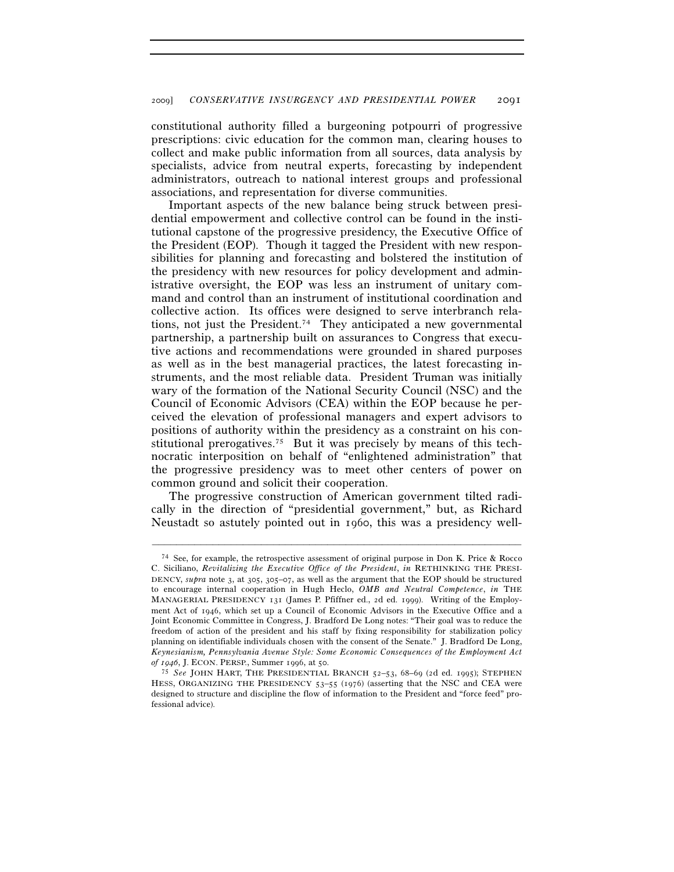constitutional authority filled a burgeoning potpourri of progressive prescriptions: civic education for the common man, clearing houses to collect and make public information from all sources, data analysis by specialists, advice from neutral experts, forecasting by independent administrators, outreach to national interest groups and professional associations, and representation for diverse communities.

Important aspects of the new balance being struck between presidential empowerment and collective control can be found in the institutional capstone of the progressive presidency, the Executive Office of the President (EOP). Though it tagged the President with new responsibilities for planning and forecasting and bolstered the institution of the presidency with new resources for policy development and administrative oversight, the EOP was less an instrument of unitary command and control than an instrument of institutional coordination and collective action. Its offices were designed to serve interbranch relations, not just the President.<sup>74</sup> They anticipated a new governmental partnership, a partnership built on assurances to Congress that executive actions and recommendations were grounded in shared purposes as well as in the best managerial practices, the latest forecasting instruments, and the most reliable data. President Truman was initially wary of the formation of the National Security Council (NSC) and the Council of Economic Advisors (CEA) within the EOP because he perceived the elevation of professional managers and expert advisors to positions of authority within the presidency as a constraint on his constitutional prerogatives.75 But it was precisely by means of this technocratic interposition on behalf of "enlightened administration" that the progressive presidency was to meet other centers of power on common ground and solicit their cooperation.

The progressive construction of American government tilted radically in the direction of "presidential government," but, as Richard Neustadt so astutely pointed out in 1960, this was a presidency well-

<sup>74</sup> See, for example, the retrospective assessment of original purpose in Don K. Price & Rocco C. Siciliano, *Revitalizing the Executive Office of the President*, *in* RETHINKING THE PRESI-DENCY, *supra* note 3, at 305, 305–07, as well as the argument that the EOP should be structured to encourage internal cooperation in Hugh Heclo, *OMB and Neutral Competence*, *in* THE MANAGERIAL PRESIDENCY 131 (James P. Pfiffner ed., 2d ed. 1999). Writing of the Employment Act of 1946, which set up a Council of Economic Advisors in the Executive Office and a Joint Economic Committee in Congress, J. Bradford De Long notes: "Their goal was to reduce the freedom of action of the president and his staff by fixing responsibility for stabilization policy planning on identifiable individuals chosen with the consent of the Senate." J. Bradford De Long, *Keynesianism, Pennsylvania Avenue Style: Some Economic Consequences of the Employment Act* 

*of 1946*, J. ECON. PERSP., Summer 1996, at 50. 75 *See* JOHN HART, THE PRESIDENTIAL BRANCH <sup>52</sup>–53, 68–69 (2d ed. 1995); STEPHEN HESS, ORGANIZING THE PRESIDENCY 53–55 (1976) (asserting that the NSC and CEA were designed to structure and discipline the flow of information to the President and "force feed" professional advice).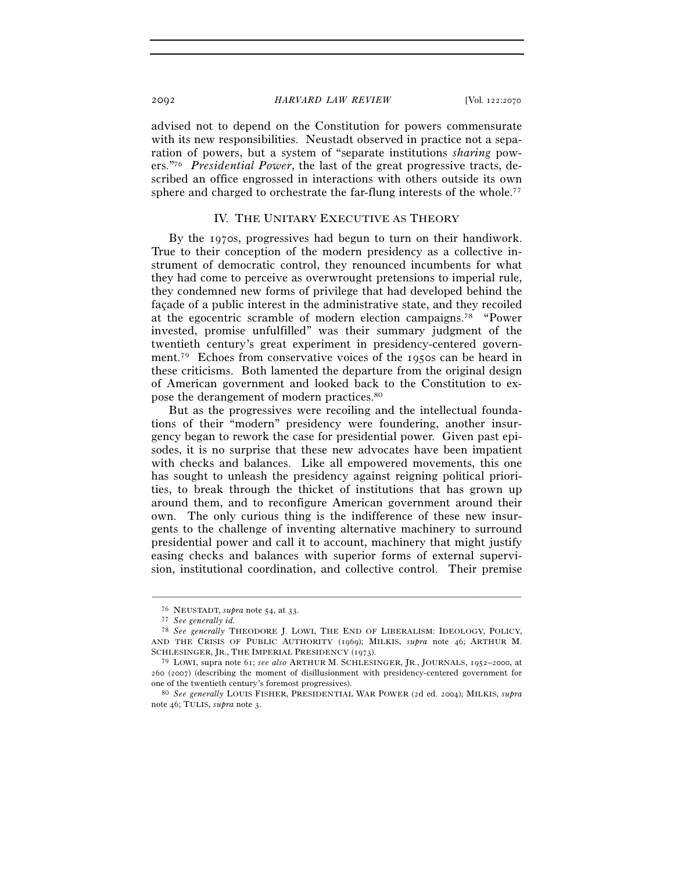advised not to depend on the Constitution for powers commensurate with its new responsibilities. Neustadt observed in practice not a separation of powers, but a system of "separate institutions *sharing* powers."76 *Presidential Power*, the last of the great progressive tracts, described an office engrossed in interactions with others outside its own sphere and charged to orchestrate the far-flung interests of the whole.<sup>77</sup>

### IV. THE UNITARY EXECUTIVE AS THEORY

By the 1970s, progressives had begun to turn on their handiwork. True to their conception of the modern presidency as a collective instrument of democratic control, they renounced incumbents for what they had come to perceive as overwrought pretensions to imperial rule, they condemned new forms of privilege that had developed behind the façade of a public interest in the administrative state, and they recoiled at the egocentric scramble of modern election campaigns.78 "Power invested, promise unfulfilled" was their summary judgment of the twentieth century's great experiment in presidency-centered government.79 Echoes from conservative voices of the 1950s can be heard in these criticisms. Both lamented the departure from the original design of American government and looked back to the Constitution to expose the derangement of modern practices.80

But as the progressives were recoiling and the intellectual foundations of their "modern" presidency were foundering, another insurgency began to rework the case for presidential power. Given past episodes, it is no surprise that these new advocates have been impatient with checks and balances. Like all empowered movements, this one has sought to unleash the presidency against reigning political priorities, to break through the thicket of institutions that has grown up around them, and to reconfigure American government around their own. The only curious thing is the indifference of these new insurgents to the challenge of inventing alternative machinery to surround presidential power and call it to account, machinery that might justify easing checks and balances with superior forms of external supervision, institutional coordination, and collective control. Their premise

<sup>76</sup> NEUSTADT, *supra* note 54, at 33. 77 *See generally id.*

<sup>78</sup> *See generally* THEODORE J. LOWI, THE END OF LIBERALISM: IDEOLOGY, POLICY, AND THE CRISIS OF PUBLIC AUTHORITY (1969); MILKIS, *supra* note 46; ARTHUR M. SCHLESINGER, JR., THE IMPERIAL PRESIDENCY (1973).

<sup>79</sup> LOWI, supra note 61; *see also* ARTHUR M. SCHLESINGER, JR., JOURNALS, 1952–2000, at  $260 (2007)$  (describing the moment of disillusionment with presidency-centered government for one of the twentieth century's foremost progressives).

one of the twentieth century's foremost progressives). 80 *See generally* LOUIS FISHER, PRESIDENTIAL WAR POWER (2d ed. 2004); MILKIS, *supra* note 46; TULIS, *supra* note 3.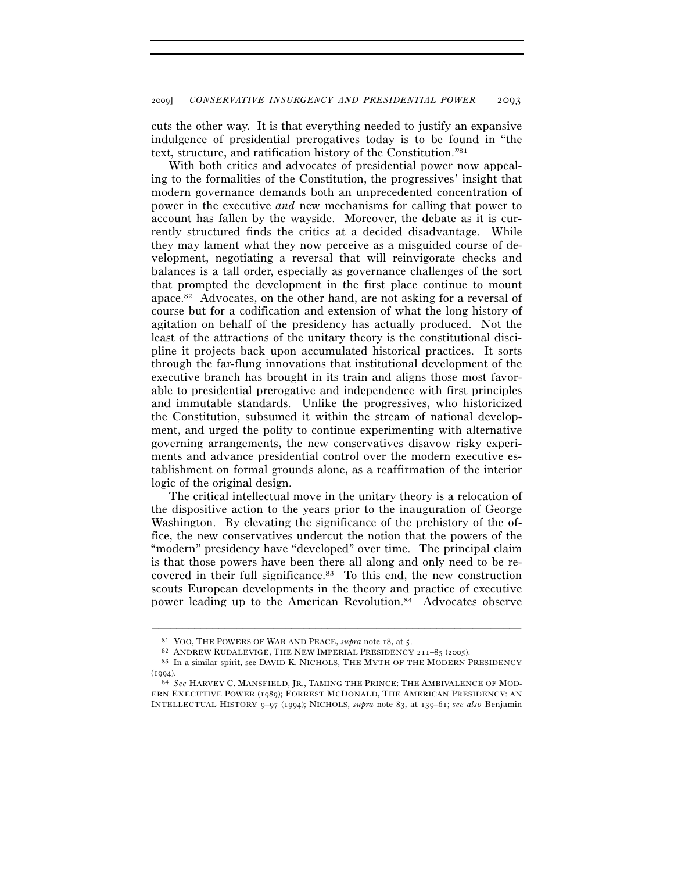cuts the other way. It is that everything needed to justify an expansive indulgence of presidential prerogatives today is to be found in "the text, structure, and ratification history of the Constitution."81

With both critics and advocates of presidential power now appealing to the formalities of the Constitution, the progressives' insight that modern governance demands both an unprecedented concentration of power in the executive *and* new mechanisms for calling that power to account has fallen by the wayside. Moreover, the debate as it is currently structured finds the critics at a decided disadvantage. While they may lament what they now perceive as a misguided course of development, negotiating a reversal that will reinvigorate checks and balances is a tall order, especially as governance challenges of the sort that prompted the development in the first place continue to mount apace.82 Advocates, on the other hand, are not asking for a reversal of course but for a codification and extension of what the long history of agitation on behalf of the presidency has actually produced. Not the least of the attractions of the unitary theory is the constitutional discipline it projects back upon accumulated historical practices. It sorts through the far-flung innovations that institutional development of the executive branch has brought in its train and aligns those most favorable to presidential prerogative and independence with first principles and immutable standards. Unlike the progressives, who historicized the Constitution, subsumed it within the stream of national development, and urged the polity to continue experimenting with alternative governing arrangements, the new conservatives disavow risky experiments and advance presidential control over the modern executive establishment on formal grounds alone, as a reaffirmation of the interior logic of the original design.

The critical intellectual move in the unitary theory is a relocation of the dispositive action to the years prior to the inauguration of George Washington. By elevating the significance of the prehistory of the office, the new conservatives undercut the notion that the powers of the "modern" presidency have "developed" over time. The principal claim is that those powers have been there all along and only need to be recovered in their full significance.83 To this end, the new construction scouts European developments in the theory and practice of executive power leading up to the American Revolution.84 Advocates observe

<sup>81</sup> YOO, THE POWERS OF WAR AND PEACE, *supra* note 18, at 5.<br><sup>82</sup> ANDREW RUDALEVIGE, THE NEW IMPERIAL PRESIDENCY 211–85 (2005).<br><sup>83</sup> In a similar spirit, see DAVID K. NICHOLS, THE MYTH OF THE MODERN PRESIDENCY

<sup>(</sup>1994). 84 *See* HARVEY C. MANSFIELD, JR., TAMING THE PRINCE: THE AMBIVALENCE OF MOD-ERN EXECUTIVE POWER (1989); FORREST MCDONALD, THE AMERICAN PRESIDENCY: AN INTELLECTUAL HISTORY 9–97 (1994); NICHOLS, *supra* note 83, at 139–61; *see also* Benjamin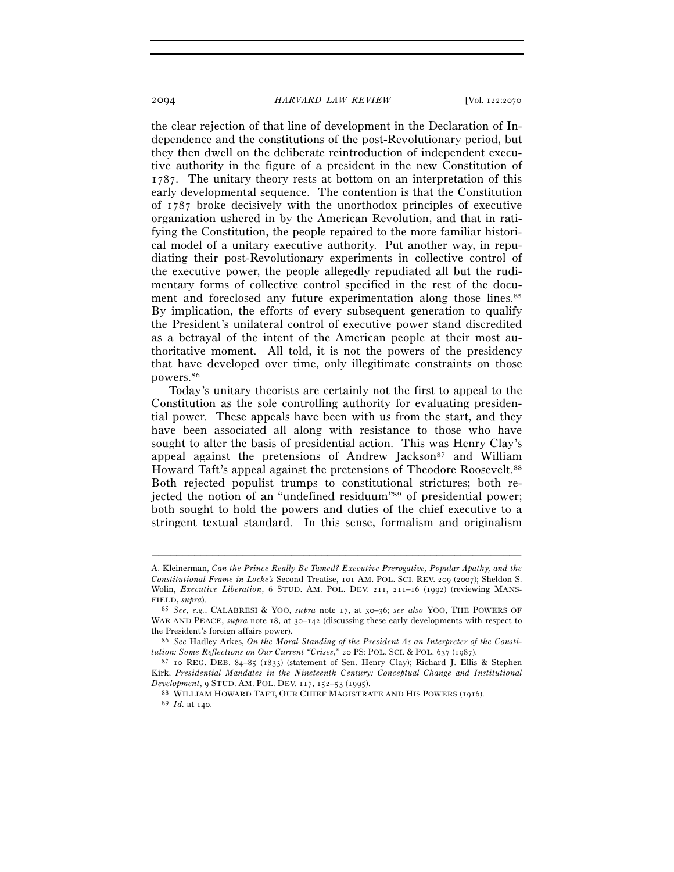the clear rejection of that line of development in the Declaration of Independence and the constitutions of the post-Revolutionary period, but they then dwell on the deliberate reintroduction of independent executive authority in the figure of a president in the new Constitution of 1787. The unitary theory rests at bottom on an interpretation of this early developmental sequence. The contention is that the Constitution of 1787 broke decisively with the unorthodox principles of executive organization ushered in by the American Revolution, and that in ratifying the Constitution, the people repaired to the more familiar historical model of a unitary executive authority. Put another way, in repudiating their post-Revolutionary experiments in collective control of the executive power, the people allegedly repudiated all but the rudimentary forms of collective control specified in the rest of the document and foreclosed any future experimentation along those lines.<sup>85</sup> By implication, the efforts of every subsequent generation to qualify the President's unilateral control of executive power stand discredited as a betrayal of the intent of the American people at their most authoritative moment. All told, it is not the powers of the presidency that have developed over time, only illegitimate constraints on those powers.86

Today's unitary theorists are certainly not the first to appeal to the Constitution as the sole controlling authority for evaluating presidential power. These appeals have been with us from the start, and they have been associated all along with resistance to those who have sought to alter the basis of presidential action. This was Henry Clay's appeal against the pretensions of Andrew Jackson<sup>87</sup> and William Howard Taft's appeal against the pretensions of Theodore Roosevelt.88 Both rejected populist trumps to constitutional strictures; both rejected the notion of an "undefined residuum"<sup>89</sup> of presidential power; both sought to hold the powers and duties of the chief executive to a stringent textual standard. In this sense, formalism and originalism

A. Kleinerman, *Can the Prince Really Be Tamed? Executive Prerogative, Popular Apathy, and the Constitutional Frame in Locke's* Second Treatise, 101 AM. POL. SCI. REV. 209 (2007); Sheldon S. Wolin, *Executive Liberation*, 6 STUD. AM. POL. DEV. 211, 211–16 (1992) (reviewing MANS-FIELD, *supra*). 85 *See, e.g.*, CALABRESI & YOO, *supra* note 17, at 30–36; *see also* YOO, THE POWERS OF

WAR AND PEACE, *supra* note 18, at 30–142 (discussing these early developments with respect to

the President's foreign affairs power).<br><sup>86</sup> *See* Hadley Arkes, *On the Moral Standing of the President As an Interpreter of the Constitution: Some Reflections on Our Current "Crises," 20 PS: POL. SCI. & POL. 637 (1987).* 

<sup>&</sup>lt;sup>87</sup> IO REG. DEB. 84–85 (1833) (statement of Sen. Henry Clay); Richard J. Ellis & Stephen Kirk, *Presidential Mandates in the Nineteenth Century: Conceptual Change and Institutional Development*, 9 STUD. AM. POL. DEV. 117, 152–53 (1995).

 $^{88}$ WILLIAM HOWARD TAFT, OUR CHIEF MAGISTRATE AND HIS POWERS (1916).  $^{89}$   $\emph{Id.}$  at 140.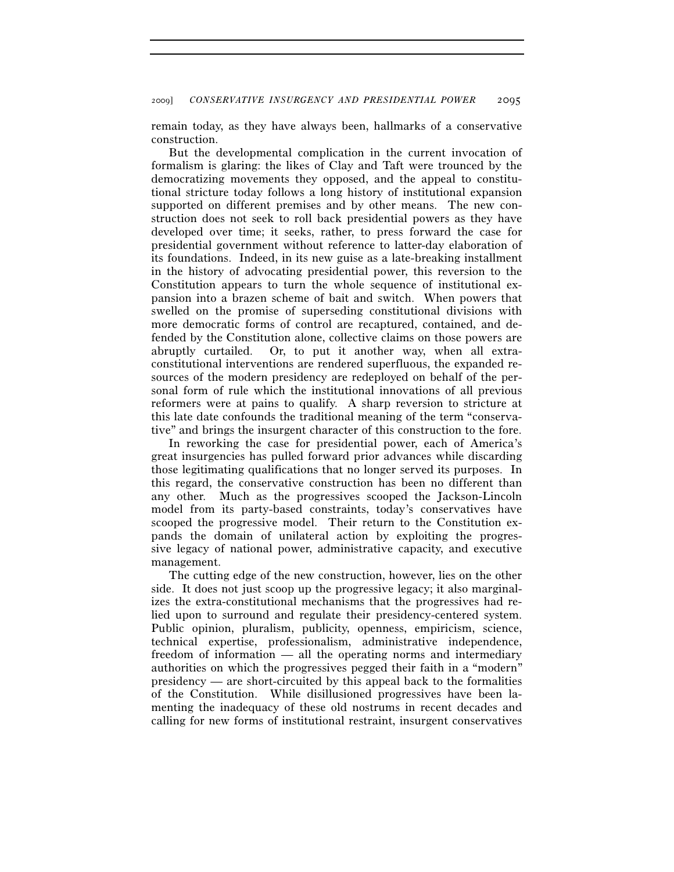remain today, as they have always been, hallmarks of a conservative construction.

But the developmental complication in the current invocation of formalism is glaring: the likes of Clay and Taft were trounced by the democratizing movements they opposed, and the appeal to constitutional stricture today follows a long history of institutional expansion supported on different premises and by other means. The new construction does not seek to roll back presidential powers as they have developed over time; it seeks, rather, to press forward the case for presidential government without reference to latter-day elaboration of its foundations. Indeed, in its new guise as a late-breaking installment in the history of advocating presidential power, this reversion to the Constitution appears to turn the whole sequence of institutional expansion into a brazen scheme of bait and switch. When powers that swelled on the promise of superseding constitutional divisions with more democratic forms of control are recaptured, contained, and defended by the Constitution alone, collective claims on those powers are abruptly curtailed. Or, to put it another way, when all extraconstitutional interventions are rendered superfluous, the expanded resources of the modern presidency are redeployed on behalf of the personal form of rule which the institutional innovations of all previous reformers were at pains to qualify. A sharp reversion to stricture at this late date confounds the traditional meaning of the term "conservative" and brings the insurgent character of this construction to the fore.

In reworking the case for presidential power, each of America's great insurgencies has pulled forward prior advances while discarding those legitimating qualifications that no longer served its purposes. In this regard, the conservative construction has been no different than any other. Much as the progressives scooped the Jackson-Lincoln model from its party-based constraints, today's conservatives have scooped the progressive model. Their return to the Constitution expands the domain of unilateral action by exploiting the progressive legacy of national power, administrative capacity, and executive management.

The cutting edge of the new construction, however, lies on the other side. It does not just scoop up the progressive legacy; it also marginalizes the extra-constitutional mechanisms that the progressives had relied upon to surround and regulate their presidency-centered system. Public opinion, pluralism, publicity, openness, empiricism, science, technical expertise, professionalism, administrative independence, freedom of information — all the operating norms and intermediary authorities on which the progressives pegged their faith in a "modern" presidency — are short-circuited by this appeal back to the formalities of the Constitution. While disillusioned progressives have been lamenting the inadequacy of these old nostrums in recent decades and calling for new forms of institutional restraint, insurgent conservatives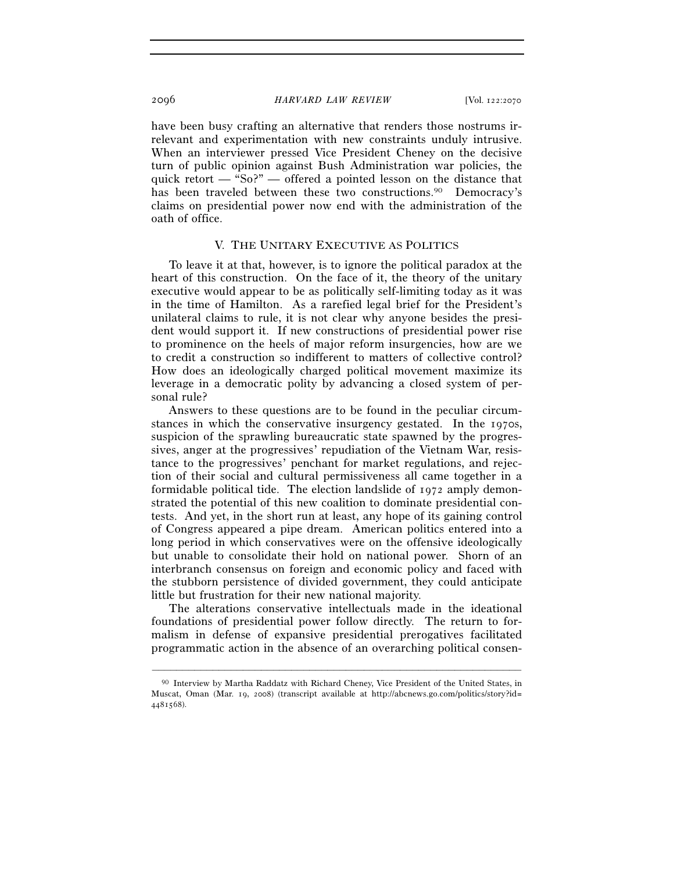have been busy crafting an alternative that renders those nostrums irrelevant and experimentation with new constraints unduly intrusive. When an interviewer pressed Vice President Cheney on the decisive turn of public opinion against Bush Administration war policies, the quick retort — "So?" — offered a pointed lesson on the distance that has been traveled between these two constructions.<sup>90</sup> Democracy's claims on presidential power now end with the administration of the oath of office.

#### V. THE UNITARY EXECUTIVE AS POLITICS

To leave it at that, however, is to ignore the political paradox at the heart of this construction. On the face of it, the theory of the unitary executive would appear to be as politically self-limiting today as it was in the time of Hamilton. As a rarefied legal brief for the President's unilateral claims to rule, it is not clear why anyone besides the president would support it. If new constructions of presidential power rise to prominence on the heels of major reform insurgencies, how are we to credit a construction so indifferent to matters of collective control? How does an ideologically charged political movement maximize its leverage in a democratic polity by advancing a closed system of personal rule?

Answers to these questions are to be found in the peculiar circumstances in which the conservative insurgency gestated. In the 1970s, suspicion of the sprawling bureaucratic state spawned by the progressives, anger at the progressives' repudiation of the Vietnam War, resistance to the progressives' penchant for market regulations, and rejection of their social and cultural permissiveness all came together in a formidable political tide. The election landslide of 1972 amply demonstrated the potential of this new coalition to dominate presidential contests. And yet, in the short run at least, any hope of its gaining control of Congress appeared a pipe dream. American politics entered into a long period in which conservatives were on the offensive ideologically but unable to consolidate their hold on national power. Shorn of an interbranch consensus on foreign and economic policy and faced with the stubborn persistence of divided government, they could anticipate little but frustration for their new national majority.

The alterations conservative intellectuals made in the ideational foundations of presidential power follow directly. The return to formalism in defense of expansive presidential prerogatives facilitated programmatic action in the absence of an overarching political consen-

<sup>90</sup> Interview by Martha Raddatz with Richard Cheney, Vice President of the United States, in Muscat, Oman (Mar. 19, 2008) (transcript available at http://abcnews.go.com/politics/story?id= 4481568).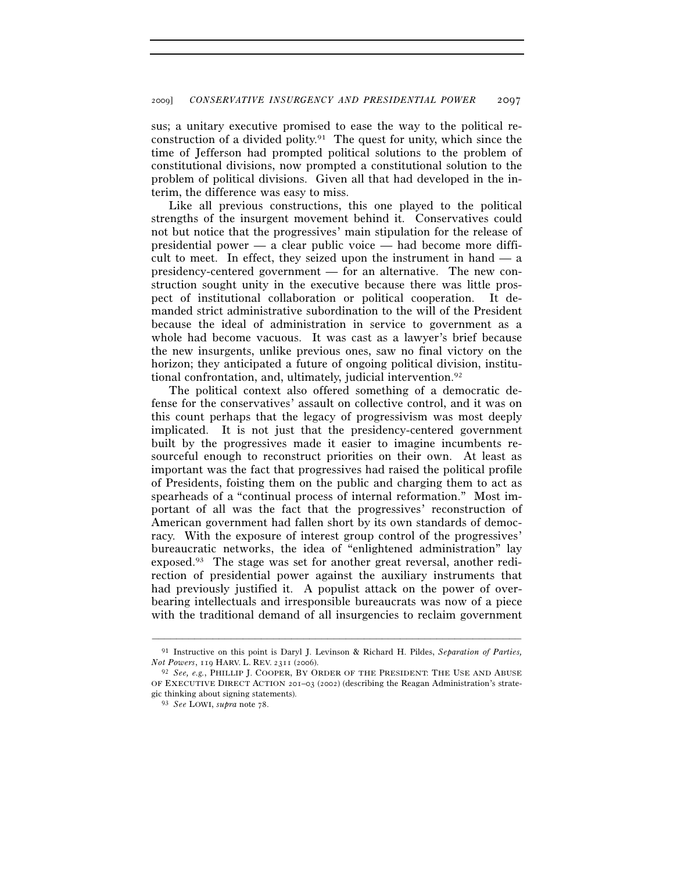sus; a unitary executive promised to ease the way to the political reconstruction of a divided polity.91 The quest for unity, which since the time of Jefferson had prompted political solutions to the problem of constitutional divisions, now prompted a constitutional solution to the problem of political divisions. Given all that had developed in the interim, the difference was easy to miss.

Like all previous constructions, this one played to the political strengths of the insurgent movement behind it. Conservatives could not but notice that the progressives' main stipulation for the release of presidential power — a clear public voice — had become more difficult to meet. In effect, they seized upon the instrument in hand — a presidency-centered government — for an alternative. The new construction sought unity in the executive because there was little prospect of institutional collaboration or political cooperation. It demanded strict administrative subordination to the will of the President because the ideal of administration in service to government as a whole had become vacuous. It was cast as a lawyer's brief because the new insurgents, unlike previous ones, saw no final victory on the horizon; they anticipated a future of ongoing political division, institutional confrontation, and, ultimately, judicial intervention.92

The political context also offered something of a democratic defense for the conservatives' assault on collective control, and it was on this count perhaps that the legacy of progressivism was most deeply implicated. It is not just that the presidency-centered government built by the progressives made it easier to imagine incumbents resourceful enough to reconstruct priorities on their own. At least as important was the fact that progressives had raised the political profile of Presidents, foisting them on the public and charging them to act as spearheads of a "continual process of internal reformation." Most important of all was the fact that the progressives' reconstruction of American government had fallen short by its own standards of democracy. With the exposure of interest group control of the progressives' bureaucratic networks, the idea of "enlightened administration" lay exposed.93 The stage was set for another great reversal, another redirection of presidential power against the auxiliary instruments that had previously justified it. A populist attack on the power of overbearing intellectuals and irresponsible bureaucrats was now of a piece with the traditional demand of all insurgencies to reclaim government

<sup>–––––––––––––––––––––––––––––––––––––––––––––––––––––––––––––</sup> 91 Instructive on this point is Daryl J. Levinson & Richard H. Pildes, *Separation of Parties, Not Powers*, 119 HARV. L. REV. <sup>2311</sup> (2006). 92 *See, e.g.*, PHILLIP J. COOPER, BY ORDER OF THE PRESIDENT: THE USE AND ABUSE

OF EXECUTIVE DIRECT ACTION 201–03 (2002) (describing the Reagan Administration's strategic thinking about signing statements). 93 *See* LOWI, *supra* note 78.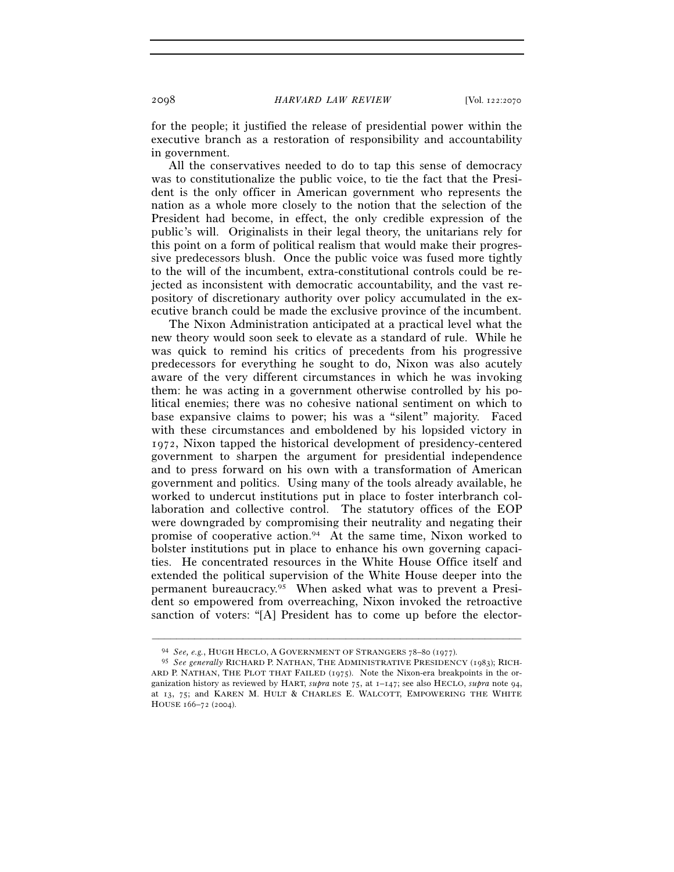for the people; it justified the release of presidential power within the executive branch as a restoration of responsibility and accountability in government.

All the conservatives needed to do to tap this sense of democracy was to constitutionalize the public voice, to tie the fact that the President is the only officer in American government who represents the nation as a whole more closely to the notion that the selection of the President had become, in effect, the only credible expression of the public's will. Originalists in their legal theory, the unitarians rely for this point on a form of political realism that would make their progressive predecessors blush. Once the public voice was fused more tightly to the will of the incumbent, extra-constitutional controls could be rejected as inconsistent with democratic accountability, and the vast repository of discretionary authority over policy accumulated in the executive branch could be made the exclusive province of the incumbent.

The Nixon Administration anticipated at a practical level what the new theory would soon seek to elevate as a standard of rule. While he was quick to remind his critics of precedents from his progressive predecessors for everything he sought to do, Nixon was also acutely aware of the very different circumstances in which he was invoking them: he was acting in a government otherwise controlled by his political enemies; there was no cohesive national sentiment on which to base expansive claims to power; his was a "silent" majority. Faced with these circumstances and emboldened by his lopsided victory in 1972, Nixon tapped the historical development of presidency-centered government to sharpen the argument for presidential independence and to press forward on his own with a transformation of American government and politics. Using many of the tools already available, he worked to undercut institutions put in place to foster interbranch collaboration and collective control. The statutory offices of the EOP were downgraded by compromising their neutrality and negating their promise of cooperative action.94 At the same time, Nixon worked to bolster institutions put in place to enhance his own governing capacities. He concentrated resources in the White House Office itself and extended the political supervision of the White House deeper into the permanent bureaucracy.95 When asked what was to prevent a President so empowered from overreaching, Nixon invoked the retroactive sanction of voters: "[A] President has to come up before the elector-

<sup>94</sup> *See, e.g.*, HUGH HECLO, A GOVERNMENT OF STRANGERS 78–80 (1977).

<sup>95</sup> *See generally* RICHARD P. NATHAN, THE ADMINISTRATIVE PRESIDENCY (1983); RICH-ARD P. NATHAN, THE PLOT THAT FAILED (1975). Note the Nixon-era breakpoints in the organization history as reviewed by HART, *supra* note 75, at 1–147; see also HECLO, *supra* note 94, at 13, 75; and KAREN M. HULT & CHARLES E. WALCOTT, EMPOWERING THE WHITE HOUSE 166–72 (2004).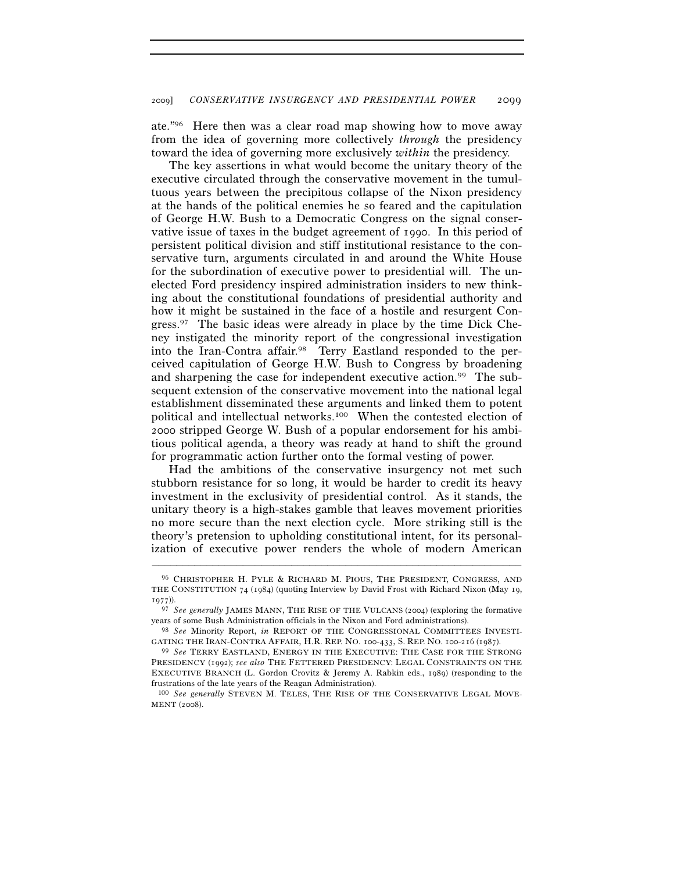ate."96 Here then was a clear road map showing how to move away from the idea of governing more collectively *through* the presidency toward the idea of governing more exclusively *within* the presidency.

The key assertions in what would become the unitary theory of the executive circulated through the conservative movement in the tumultuous years between the precipitous collapse of the Nixon presidency at the hands of the political enemies he so feared and the capitulation of George H.W. Bush to a Democratic Congress on the signal conservative issue of taxes in the budget agreement of 1990. In this period of persistent political division and stiff institutional resistance to the conservative turn, arguments circulated in and around the White House for the subordination of executive power to presidential will. The unelected Ford presidency inspired administration insiders to new thinking about the constitutional foundations of presidential authority and how it might be sustained in the face of a hostile and resurgent Congress.<sup>97</sup> The basic ideas were already in place by the time Dick Cheney instigated the minority report of the congressional investigation into the Iran-Contra affair.98 Terry Eastland responded to the perceived capitulation of George H.W. Bush to Congress by broadening and sharpening the case for independent executive action.99 The subsequent extension of the conservative movement into the national legal establishment disseminated these arguments and linked them to potent political and intellectual networks.100 When the contested election of 2000 stripped George W. Bush of a popular endorsement for his ambitious political agenda, a theory was ready at hand to shift the ground for programmatic action further onto the formal vesting of power.

Had the ambitions of the conservative insurgency not met such stubborn resistance for so long, it would be harder to credit its heavy investment in the exclusivity of presidential control. As it stands, the unitary theory is a high-stakes gamble that leaves movement priorities no more secure than the next election cycle. More striking still is the theory's pretension to upholding constitutional intent, for its personalization of executive power renders the whole of modern American

<sup>96</sup> CHRISTOPHER H. PYLE & RICHARD M. PIOUS, THE PRESIDENT, CONGRESS, AND THE CONSTITUTION 74 (1984) (quoting Interview by David Frost with Richard Nixon (May 19, 1977)).

<sup>97</sup> *See generally* JAMES MANN, THE RISE OF THE VULCANS (2004) (exploring the formative years of some Bush Administration officials in the Nixon and Ford administrations). 98 *See* Minority Report, *in* REPORT OF THE CONGRESSIONAL COMMITTEES INVESTI-

GATING THE IRAN-CONTRA AFFAIR, H.R. REP. NO. 100-433, S. REP. NO. <sup>100</sup>-<sup>216</sup> (1987). 99 *See* TERRY EASTLAND, ENERGY IN THE EXECUTIVE: THE CASE FOR THE STRONG

PRESIDENCY (1992); *see also* THE FETTERED PRESIDENCY: LEGAL CONSTRAINTS ON THE EXECUTIVE BRANCH (L. Gordon Crovitz & Jeremy A. Rabkin eds., 1989) (responding to the frustrations of the late years of the Reagan Administration).

<sup>100</sup> *See generally* STEVEN M. TELES, THE RISE OF THE CONSERVATIVE LEGAL MOVE-MENT (2008).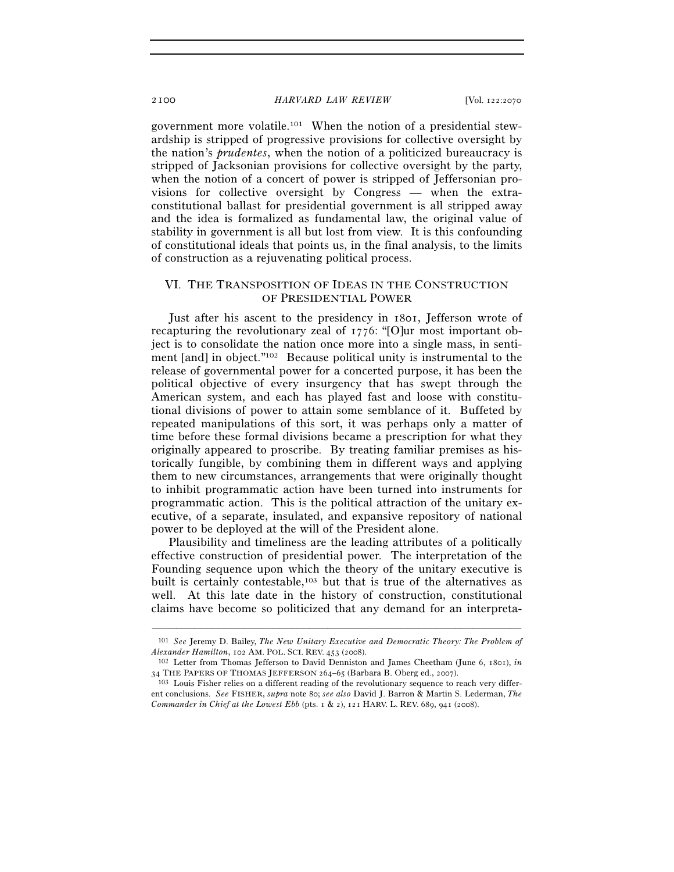government more volatile.101 When the notion of a presidential stewardship is stripped of progressive provisions for collective oversight by the nation's *prudentes*, when the notion of a politicized bureaucracy is stripped of Jacksonian provisions for collective oversight by the party, when the notion of a concert of power is stripped of Jeffersonian provisions for collective oversight by Congress — when the extraconstitutional ballast for presidential government is all stripped away and the idea is formalized as fundamental law, the original value of stability in government is all but lost from view. It is this confounding of constitutional ideals that points us, in the final analysis, to the limits of construction as a rejuvenating political process.

### VI. THE TRANSPOSITION OF IDEAS IN THE CONSTRUCTION OF PRESIDENTIAL POWER

Just after his ascent to the presidency in 1801, Jefferson wrote of recapturing the revolutionary zeal of 1776: "[O]ur most important object is to consolidate the nation once more into a single mass, in sentiment [and] in object."102 Because political unity is instrumental to the release of governmental power for a concerted purpose, it has been the political objective of every insurgency that has swept through the American system, and each has played fast and loose with constitutional divisions of power to attain some semblance of it. Buffeted by repeated manipulations of this sort, it was perhaps only a matter of time before these formal divisions became a prescription for what they originally appeared to proscribe. By treating familiar premises as historically fungible, by combining them in different ways and applying them to new circumstances, arrangements that were originally thought to inhibit programmatic action have been turned into instruments for programmatic action. This is the political attraction of the unitary executive, of a separate, insulated, and expansive repository of national power to be deployed at the will of the President alone.

Plausibility and timeliness are the leading attributes of a politically effective construction of presidential power. The interpretation of the Founding sequence upon which the theory of the unitary executive is built is certainly contestable,<sup>103</sup> but that is true of the alternatives as well. At this late date in the history of construction, constitutional claims have become so politicized that any demand for an interpreta-

<sup>–––––––––––––––––––––––––––––––––––––––––––––––––––––––––––––</sup> 101 *See* Jeremy D. Bailey, *The New Unitary Executive and Democratic Theory: The Problem of* 

<sup>&</sup>lt;sup>102</sup> Letter from Thomas Jefferson to David Denniston and James Cheetham (June 6, 1801), *in* 34 THE PAPERS OF THOMAS JEFFERSON 264–65 (Barbara B. Oberg ed., 2007).

<sup>103</sup> Louis Fisher relies on a different reading of the revolutionary sequence to reach very different conclusions. *See* FISHER, *supra* note 80; *see also* David J. Barron & Martin S. Lederman, *The Commander in Chief at the Lowest Ebb* (pts. 1 & 2), 121 HARV. L. REV. 689, 941 (2008).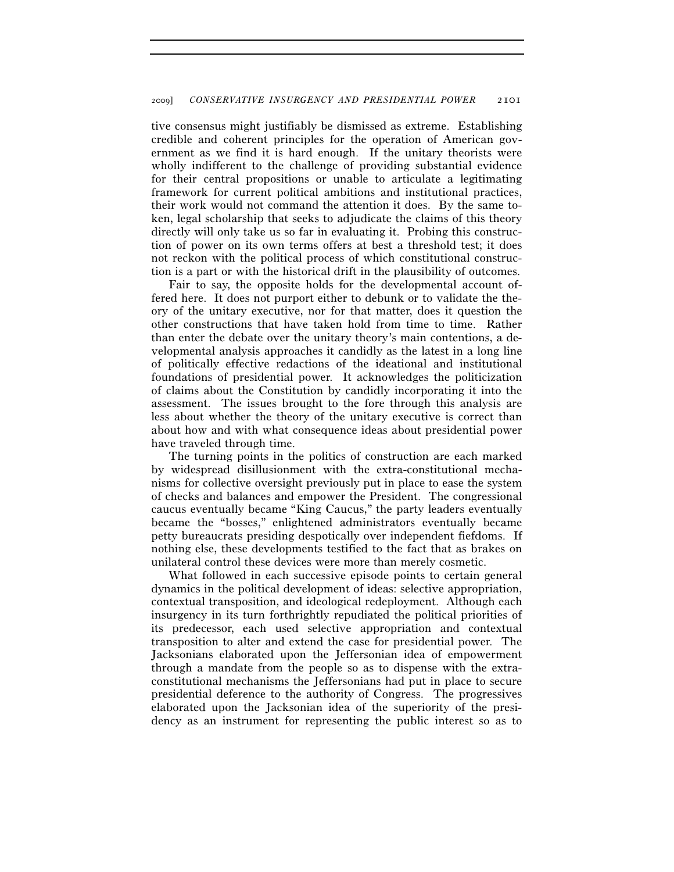tive consensus might justifiably be dismissed as extreme. Establishing credible and coherent principles for the operation of American government as we find it is hard enough. If the unitary theorists were wholly indifferent to the challenge of providing substantial evidence for their central propositions or unable to articulate a legitimating framework for current political ambitions and institutional practices, their work would not command the attention it does. By the same token, legal scholarship that seeks to adjudicate the claims of this theory directly will only take us so far in evaluating it. Probing this construction of power on its own terms offers at best a threshold test; it does not reckon with the political process of which constitutional construction is a part or with the historical drift in the plausibility of outcomes.

Fair to say, the opposite holds for the developmental account offered here. It does not purport either to debunk or to validate the theory of the unitary executive, nor for that matter, does it question the other constructions that have taken hold from time to time. Rather than enter the debate over the unitary theory's main contentions, a developmental analysis approaches it candidly as the latest in a long line of politically effective redactions of the ideational and institutional foundations of presidential power. It acknowledges the politicization of claims about the Constitution by candidly incorporating it into the assessment. The issues brought to the fore through this analysis are less about whether the theory of the unitary executive is correct than about how and with what consequence ideas about presidential power have traveled through time.

The turning points in the politics of construction are each marked by widespread disillusionment with the extra-constitutional mechanisms for collective oversight previously put in place to ease the system of checks and balances and empower the President. The congressional caucus eventually became "King Caucus," the party leaders eventually became the "bosses," enlightened administrators eventually became petty bureaucrats presiding despotically over independent fiefdoms. If nothing else, these developments testified to the fact that as brakes on unilateral control these devices were more than merely cosmetic.

What followed in each successive episode points to certain general dynamics in the political development of ideas: selective appropriation, contextual transposition, and ideological redeployment. Although each insurgency in its turn forthrightly repudiated the political priorities of its predecessor, each used selective appropriation and contextual transposition to alter and extend the case for presidential power. The Jacksonians elaborated upon the Jeffersonian idea of empowerment through a mandate from the people so as to dispense with the extraconstitutional mechanisms the Jeffersonians had put in place to secure presidential deference to the authority of Congress. The progressives elaborated upon the Jacksonian idea of the superiority of the presidency as an instrument for representing the public interest so as to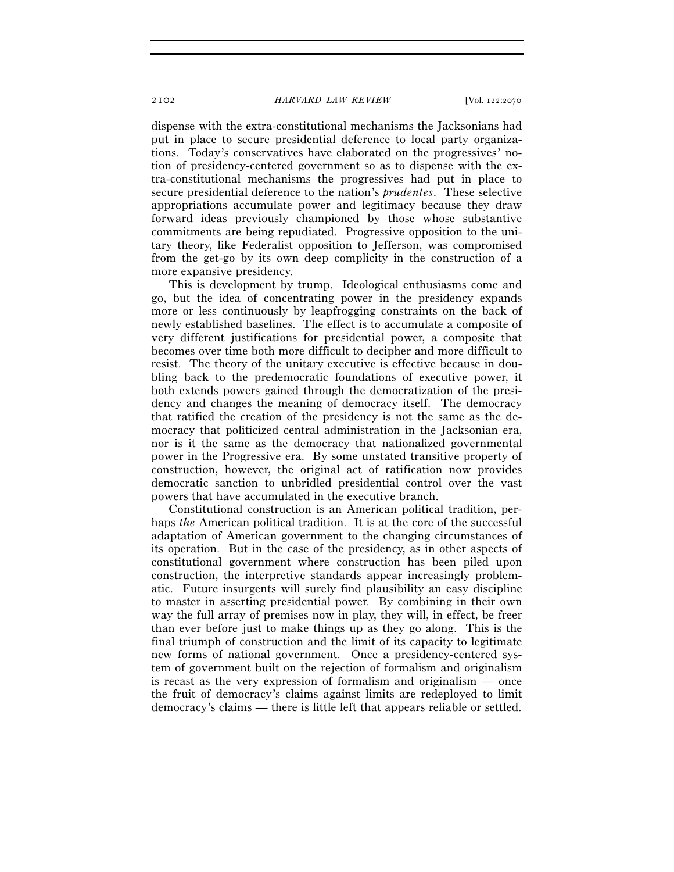dispense with the extra-constitutional mechanisms the Jacksonians had put in place to secure presidential deference to local party organizations. Today's conservatives have elaborated on the progressives' notion of presidency-centered government so as to dispense with the extra-constitutional mechanisms the progressives had put in place to secure presidential deference to the nation's *prudentes*. These selective appropriations accumulate power and legitimacy because they draw forward ideas previously championed by those whose substantive commitments are being repudiated. Progressive opposition to the unitary theory, like Federalist opposition to Jefferson, was compromised from the get-go by its own deep complicity in the construction of a more expansive presidency.

This is development by trump. Ideological enthusiasms come and go, but the idea of concentrating power in the presidency expands more or less continuously by leapfrogging constraints on the back of newly established baselines. The effect is to accumulate a composite of very different justifications for presidential power, a composite that becomes over time both more difficult to decipher and more difficult to resist. The theory of the unitary executive is effective because in doubling back to the predemocratic foundations of executive power, it both extends powers gained through the democratization of the presidency and changes the meaning of democracy itself. The democracy that ratified the creation of the presidency is not the same as the democracy that politicized central administration in the Jacksonian era, nor is it the same as the democracy that nationalized governmental power in the Progressive era. By some unstated transitive property of construction, however, the original act of ratification now provides democratic sanction to unbridled presidential control over the vast powers that have accumulated in the executive branch.

Constitutional construction is an American political tradition, perhaps *the* American political tradition. It is at the core of the successful adaptation of American government to the changing circumstances of its operation. But in the case of the presidency, as in other aspects of constitutional government where construction has been piled upon construction, the interpretive standards appear increasingly problematic. Future insurgents will surely find plausibility an easy discipline to master in asserting presidential power. By combining in their own way the full array of premises now in play, they will, in effect, be freer than ever before just to make things up as they go along. This is the final triumph of construction and the limit of its capacity to legitimate new forms of national government. Once a presidency-centered system of government built on the rejection of formalism and originalism is recast as the very expression of formalism and originalism — once the fruit of democracy's claims against limits are redeployed to limit democracy's claims — there is little left that appears reliable or settled.